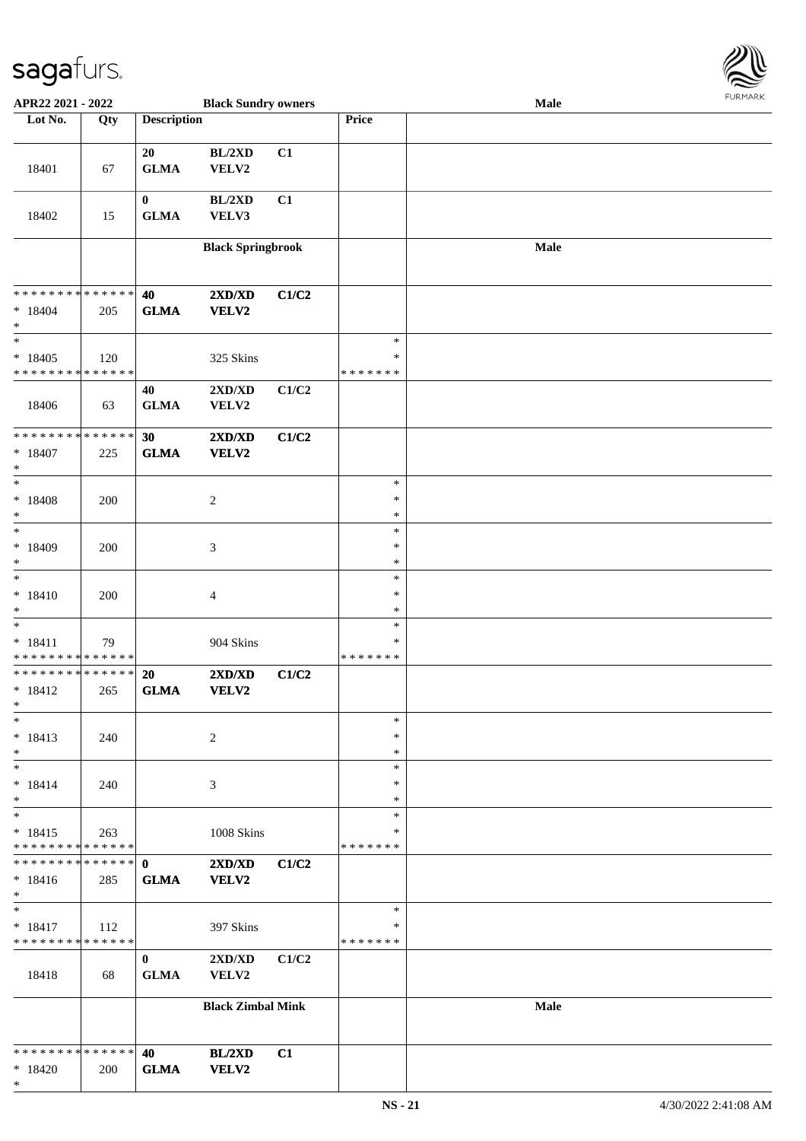

| APR22 2021 - 2022                        |     |                    | <b>Black Sundry owners</b> |       |                    | Male        |  |
|------------------------------------------|-----|--------------------|----------------------------|-------|--------------------|-------------|--|
| Lot No.                                  | Qty | <b>Description</b> |                            |       | Price              |             |  |
|                                          |     |                    |                            |       |                    |             |  |
|                                          |     | 20                 | BL/2XD                     | C1    |                    |             |  |
| 18401                                    | 67  | <b>GLMA</b>        | VELV2                      |       |                    |             |  |
|                                          |     |                    |                            |       |                    |             |  |
|                                          |     | $\bf{0}$           | BL/2XD                     | C1    |                    |             |  |
| 18402                                    | 15  | ${\bf GLMA}$       | VELV3                      |       |                    |             |  |
|                                          |     |                    |                            |       |                    |             |  |
|                                          |     |                    | <b>Black Springbrook</b>   |       |                    | Male        |  |
|                                          |     |                    |                            |       |                    |             |  |
|                                          |     |                    |                            |       |                    |             |  |
| * * * * * * * * * * * * * *              |     | 40                 | 2XD/XD                     | C1/C2 |                    |             |  |
| $* 18404$                                | 205 | <b>GLMA</b>        | <b>VELV2</b>               |       |                    |             |  |
| $\ast$                                   |     |                    |                            |       |                    |             |  |
| $\ast$                                   |     |                    |                            |       | $\ast$             |             |  |
| $*18405$                                 | 120 |                    | 325 Skins                  |       | $\ast$             |             |  |
| * * * * * * * * * * * * * *              |     |                    |                            |       | * * * * * * *      |             |  |
|                                          |     | 40                 | 2XD/XD                     | C1/C2 |                    |             |  |
| 18406                                    | 63  | ${\bf GLMA}$       | VELV2                      |       |                    |             |  |
|                                          |     |                    |                            |       |                    |             |  |
| **************                           |     | 30                 | 2XD/XD                     | C1/C2 |                    |             |  |
| $* 18407$                                | 225 | <b>GLMA</b>        | <b>VELV2</b>               |       |                    |             |  |
| $\ast$                                   |     |                    |                            |       |                    |             |  |
| $\ast$                                   |     |                    |                            |       | $\ast$             |             |  |
| $* 18408$                                | 200 |                    | $\boldsymbol{2}$           |       | $\ast$             |             |  |
| $\ast$                                   |     |                    |                            |       | $\ast$             |             |  |
| $\ast$                                   |     |                    |                            |       | $\ast$             |             |  |
| $*18409$                                 | 200 |                    | $\mathfrak{Z}$             |       | $\ast$             |             |  |
| $\ast$                                   |     |                    |                            |       | $\ast$             |             |  |
| $\ast$                                   |     |                    |                            |       | $\ast$             |             |  |
| $* 18410$                                | 200 |                    | $\overline{\mathcal{A}}$   |       | $\ast$             |             |  |
| $\ast$                                   |     |                    |                            |       | $\ast$             |             |  |
| $\ast$                                   |     |                    |                            |       | $\ast$             |             |  |
| $* 18411$                                | 79  |                    | 904 Skins                  |       | $\ast$             |             |  |
| ******** <mark>******</mark>             |     |                    |                            |       | * * * * * * *      |             |  |
| **************                           |     | 20                 | 2XD/XD                     | C1/C2 |                    |             |  |
| $* 18412$                                | 265 | <b>GLMA</b>        | VELV2                      |       |                    |             |  |
| $*$                                      |     |                    |                            |       |                    |             |  |
| $\ast$                                   |     |                    |                            |       | $\ast$             |             |  |
| $* 18413$                                | 240 |                    | $\overline{c}$             |       | ∗                  |             |  |
| $\ast$                                   |     |                    |                            |       | $\ast$             |             |  |
| $\ast$                                   |     |                    |                            |       | $\ast$             |             |  |
| $* 18414$                                | 240 |                    | 3                          |       | *                  |             |  |
| $\ast$                                   |     |                    |                            |       | *                  |             |  |
| $\ast$                                   |     |                    |                            |       | $\ast$             |             |  |
| $* 18415$<br>* * * * * * * * * * * * * * | 263 |                    | 1008 Skins                 |       | ∗<br>* * * * * * * |             |  |
| * * * * * * * * * * * * * *              |     |                    |                            |       |                    |             |  |
|                                          |     | $\mathbf{0}$       | 2XD/XD                     | C1/C2 |                    |             |  |
| $* 18416$<br>$\ast$                      | 285 | <b>GLMA</b>        | VELV2                      |       |                    |             |  |
| $\ast$                                   |     |                    |                            |       | $\ast$             |             |  |
|                                          |     |                    |                            |       | *                  |             |  |
| $* 18417$<br>* * * * * * * * * * * * * * | 112 |                    | 397 Skins                  |       | * * * * * * *      |             |  |
|                                          |     | $\bf{0}$           | 2XD/XD                     | C1/C2 |                    |             |  |
|                                          |     | <b>GLMA</b>        |                            |       |                    |             |  |
| 18418                                    | 68  |                    | VELV2                      |       |                    |             |  |
|                                          |     |                    | <b>Black Zimbal Mink</b>   |       |                    | <b>Male</b> |  |
|                                          |     |                    |                            |       |                    |             |  |
|                                          |     |                    |                            |       |                    |             |  |
| * * * * * * * * * * * * * *              |     | 40                 | BL/2XD                     | C1    |                    |             |  |
| $* 18420$                                | 200 | <b>GLMA</b>        | VELV2                      |       |                    |             |  |
| $\ast$                                   |     |                    |                            |       |                    |             |  |
|                                          |     |                    |                            |       |                    |             |  |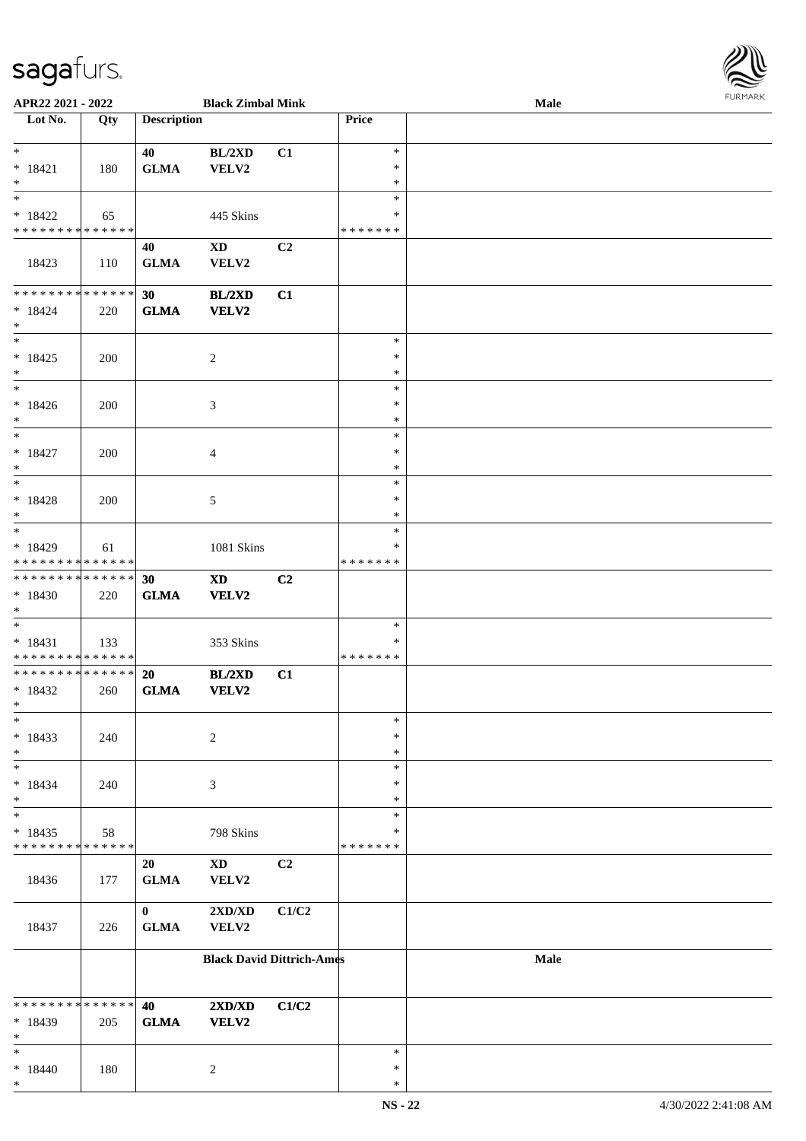\*

| APR22 2021 - 2022                          |     |                    | <b>Black Zimbal Mink</b>         |       |               | Male | <b>FURMARK</b> |
|--------------------------------------------|-----|--------------------|----------------------------------|-------|---------------|------|----------------|
| Lot No.                                    | Qty | <b>Description</b> |                                  |       | Price         |      |                |
|                                            |     |                    |                                  |       |               |      |                |
| $\ddot{x}$                                 |     | 40                 | BL/2XD                           | C1    | $\ast$        |      |                |
| $* 18421$                                  | 180 | ${\bf GLMA}$       | VELV2                            |       | $\ast$        |      |                |
| $*$                                        |     |                    |                                  |       | $\ast$        |      |                |
|                                            |     |                    |                                  |       | $\ast$        |      |                |
| $*18422$                                   | 65  |                    | 445 Skins                        |       | $\ast$        |      |                |
| * * * * * * * * * * * * * * *              |     |                    |                                  |       | *******       |      |                |
|                                            |     | 40                 | <b>XD</b>                        | C2    |               |      |                |
| 18423                                      | 110 | <b>GLMA</b>        | VELV2                            |       |               |      |                |
|                                            |     |                    |                                  |       |               |      |                |
| ******** <mark>******</mark>               |     | 30                 | BL/2XD                           | C1    |               |      |                |
| $* 18424$                                  | 220 | <b>GLMA</b>        | <b>VELV2</b>                     |       |               |      |                |
| $\ast$                                     |     |                    |                                  |       |               |      |                |
| $\overline{\ast}$                          |     |                    |                                  |       | $\ast$        |      |                |
| $* 18425$                                  | 200 |                    | 2                                |       | $\ast$        |      |                |
| $*$                                        |     |                    |                                  |       | $\ast$        |      |                |
| $\overline{\mathbf{r}}$                    |     |                    |                                  |       | $\ast$        |      |                |
| $* 18426$                                  | 200 |                    | $\mathfrak{Z}$                   |       | $\ast$        |      |                |
| $*$                                        |     |                    |                                  |       | $\ast$        |      |                |
| $*$                                        |     |                    |                                  |       | $\ast$        |      |                |
| $* 18427$                                  | 200 |                    | $\overline{4}$                   |       | $\ast$        |      |                |
| $*$                                        |     |                    |                                  |       | $\ast$        |      |                |
|                                            |     |                    |                                  |       | $\ast$        |      |                |
| $* 18428$                                  | 200 |                    | 5                                |       | $\ast$        |      |                |
| $*$                                        |     |                    |                                  |       | $\ast$        |      |                |
| $\overline{\phantom{0}}$                   |     |                    |                                  |       | $\ast$        |      |                |
| $* 18429$                                  | 61  |                    | 1081 Skins                       |       | $\ast$        |      |                |
| * * * * * * * * <mark>* * * * * * *</mark> |     |                    |                                  |       | *******       |      |                |
| ******** <mark>******</mark>               |     | 30                 | <b>XD</b>                        | C2    |               |      |                |
| $*18430$                                   | 220 | <b>GLMA</b>        | <b>VELV2</b>                     |       |               |      |                |
| $*$                                        |     |                    |                                  |       |               |      |                |
| $\overline{\phantom{0}}$                   |     |                    |                                  |       | $\ast$        |      |                |
| $* 18431$                                  | 133 |                    | 353 Skins                        |       | ∗             |      |                |
| * * * * * * * * <mark>* * * * * *</mark>   |     |                    |                                  |       | *******       |      |                |
| ******** <mark>******</mark>               |     | 20                 | BL/2XD                           | C1    |               |      |                |
| $*18432$                                   | 260 | <b>GLMA</b>        | VELV2                            |       |               |      |                |
| $*$ $-$                                    |     |                    |                                  |       |               |      |                |
| $\ast$                                     |     |                    |                                  |       | $\ast$        |      |                |
| $* 18433$                                  | 240 |                    | $\sqrt{2}$                       |       | $\ast$        |      |                |
| $*$                                        |     |                    |                                  |       | $\ast$        |      |                |
| $\ast$                                     |     |                    |                                  |       | $\ast$        |      |                |
| $* 18434$                                  | 240 |                    | 3                                |       | $\ast$        |      |                |
| $\ast$                                     |     |                    |                                  |       | $\ast$        |      |                |
| $\ast$                                     |     |                    |                                  |       | $\ast$        |      |                |
| $*18435$                                   | 58  |                    | 798 Skins                        |       | *             |      |                |
| * * * * * * * * <mark>* * * * * *</mark>   |     |                    |                                  |       | * * * * * * * |      |                |
|                                            |     | 20                 | $\mathbf{X}\mathbf{D}$           | C2    |               |      |                |
| 18436                                      | 177 | <b>GLMA</b>        | VELV2                            |       |               |      |                |
|                                            |     |                    |                                  |       |               |      |                |
|                                            |     | $\bf{0}$           | $2{\bf X}{\bf D}/{\bf X}{\bf D}$ | C1/C2 |               |      |                |
| 18437                                      | 226 | <b>GLMA</b>        | VELV2                            |       |               |      |                |
|                                            |     |                    |                                  |       |               |      |                |
|                                            |     |                    | <b>Black David Dittrich-Ames</b> |       |               | Male |                |
|                                            |     |                    |                                  |       |               |      |                |
|                                            |     |                    |                                  |       |               |      |                |
| * * * * * * * * <mark>* * * * * *</mark>   |     | 40                 | $2{\bf X}{\bf D}/{\bf X}{\bf D}$ | C1/C2 |               |      |                |
| * 18439                                    | 205 | ${\bf GLMA}$       | <b>VELV2</b>                     |       |               |      |                |
| $*$                                        |     |                    |                                  |       |               |      |                |
| $\ast$                                     |     |                    |                                  |       | $\ast$        |      |                |
| $* 18440$                                  | 180 |                    | $\overline{c}$                   |       | $\ast$        |      |                |
| $\ast$                                     |     |                    |                                  |       | $\ast$        |      |                |

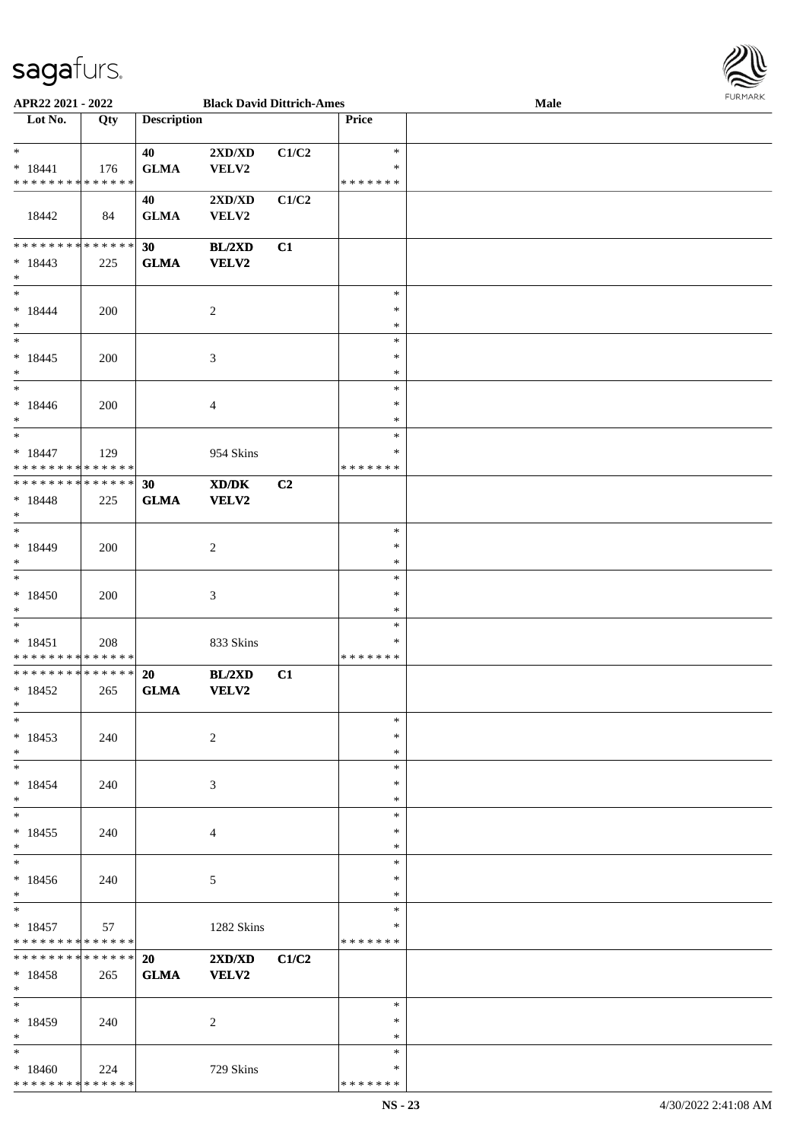\* \* \* \* \* \* \* \* \* \* \* \* \* \* \*



| APR22 2021 - 2022                          |     |                    | <b>Black David Dittrich-Ames</b> |       |               | Male |  |
|--------------------------------------------|-----|--------------------|----------------------------------|-------|---------------|------|--|
| Lot No.                                    | Qty | <b>Description</b> |                                  |       | Price         |      |  |
|                                            |     |                    |                                  |       |               |      |  |
| $\ast$                                     |     | 40                 | $2{\bf X}{\bf D}/{\bf X}{\bf D}$ | C1/C2 | $\ast$        |      |  |
| $* 18441$                                  | 176 | <b>GLMA</b>        | VELV2                            |       | $\ast$        |      |  |
| * * * * * * * * <mark>* * * * * *</mark>   |     |                    |                                  |       | * * * * * * * |      |  |
|                                            |     | 40                 | $2{\bf X}{\bf D}/{\bf X}{\bf D}$ | C1/C2 |               |      |  |
| 18442                                      | 84  | <b>GLMA</b>        | VELV2                            |       |               |      |  |
|                                            |     |                    |                                  |       |               |      |  |
| * * * * * * * * <mark>* * * * * * *</mark> |     | 30                 | BL/2XD                           | C1    |               |      |  |
| $* 18443$                                  | 225 | <b>GLMA</b>        | <b>VELV2</b>                     |       |               |      |  |
| $\ast$                                     |     |                    |                                  |       |               |      |  |
| $*$                                        |     |                    |                                  |       | $\ast$        |      |  |
|                                            |     |                    |                                  |       | $\ast$        |      |  |
| $* 18444$                                  | 200 |                    | $\overline{2}$                   |       | $\ast$        |      |  |
| $*$<br>$*$                                 |     |                    |                                  |       | $\ast$        |      |  |
|                                            |     |                    |                                  |       |               |      |  |
| $* 18445$                                  | 200 |                    | $\mathfrak{Z}$                   |       | $\ast$        |      |  |
| $\ast$                                     |     |                    |                                  |       | $\ast$        |      |  |
| $\ast$                                     |     |                    |                                  |       | $\ast$        |      |  |
| $* 18446$                                  | 200 |                    | $\overline{4}$                   |       | $\ast$        |      |  |
| $\ast$                                     |     |                    |                                  |       | $\ast$        |      |  |
| $\overline{\ast}$                          |     |                    |                                  |       | $\ast$        |      |  |
| $* 18447$                                  | 129 |                    | 954 Skins                        |       | $\ast$        |      |  |
| * * * * * * * * <mark>* * * * * *</mark>   |     |                    |                                  |       | * * * * * * * |      |  |
| * * * * * * * * * * * * * * *              |     | 30                 | XD/DK                            | C2    |               |      |  |
| $* 18448$                                  | 225 | <b>GLMA</b>        | <b>VELV2</b>                     |       |               |      |  |
| $\ast$                                     |     |                    |                                  |       |               |      |  |
| $\overline{\phantom{0}}$                   |     |                    |                                  |       | $\ast$        |      |  |
| $* 18449$                                  | 200 |                    | $\sqrt{2}$                       |       | $\ast$        |      |  |
| $\ast$                                     |     |                    |                                  |       | $\ast$        |      |  |
| $\ast$                                     |     |                    |                                  |       | $\ast$        |      |  |
| $*18450$                                   | 200 |                    | $\mathfrak{Z}$                   |       | $\ast$        |      |  |
| $*$                                        |     |                    |                                  |       | $\ast$        |      |  |
| $*$                                        |     |                    |                                  |       | $\ast$        |      |  |
| $* 18451$                                  | 208 |                    | 833 Skins                        |       | $\ast$        |      |  |
| * * * * * * * * <mark>* * * * * *</mark>   |     |                    |                                  |       | *******       |      |  |
| * * * * * * * * <mark>* * * * * * *</mark> |     | 20                 | BL/2XD                           | C1    |               |      |  |
| $*18452$                                   | 265 | <b>GLMA</b>        | <b>VELV2</b>                     |       |               |      |  |
| $\ast$                                     |     |                    |                                  |       |               |      |  |
| $*$                                        |     |                    |                                  |       | $\ast$        |      |  |
|                                            |     |                    |                                  |       | $\ast$        |      |  |
| $*18453$                                   | 240 |                    | $\sqrt{2}$                       |       |               |      |  |
| $*$                                        |     |                    |                                  |       | $\ast$        |      |  |
| $*$ $-$                                    |     |                    |                                  |       | $\ast$        |      |  |
| $*18454$                                   | 240 |                    | 3                                |       | $\ast$        |      |  |
| $\ast$<br>$*$                              |     |                    |                                  |       | $\ast$        |      |  |
|                                            |     |                    |                                  |       | $\ast$        |      |  |
| $* 18455$                                  | 240 |                    | 4                                |       | $\ast$        |      |  |
| $\ast$                                     |     |                    |                                  |       | $\ast$        |      |  |
| $*$                                        |     |                    |                                  |       | $\ast$        |      |  |
| $*18456$                                   | 240 |                    | 5                                |       | $\ast$        |      |  |
| $*$                                        |     |                    |                                  |       | $\ast$        |      |  |
| $*$                                        |     |                    |                                  |       | $\ast$        |      |  |
| $*18457$                                   | 57  |                    | 1282 Skins                       |       | $\ast$        |      |  |
| * * * * * * * * <mark>* * * * * *</mark>   |     |                    |                                  |       | * * * * * * * |      |  |
| * * * * * * * * <mark>* * * * * * *</mark> |     | 20                 | 2XD/XD                           | C1/C2 |               |      |  |
| $* 18458$                                  | 265 | <b>GLMA</b>        | <b>VELV2</b>                     |       |               |      |  |
| $*$                                        |     |                    |                                  |       |               |      |  |
| $\ast$                                     |     |                    |                                  |       | $\ast$        |      |  |
| * 18459                                    | 240 |                    | 2                                |       | $\ast$        |      |  |
| $*$                                        |     |                    |                                  |       | $\ast$        |      |  |
| $\ast$                                     |     |                    |                                  |       | $\ast$        |      |  |
| $*18460$                                   | 224 |                    | 729 Skins                        |       | $\ast$        |      |  |
|                                            |     |                    |                                  |       |               |      |  |

\* \* \* \* \* \* \*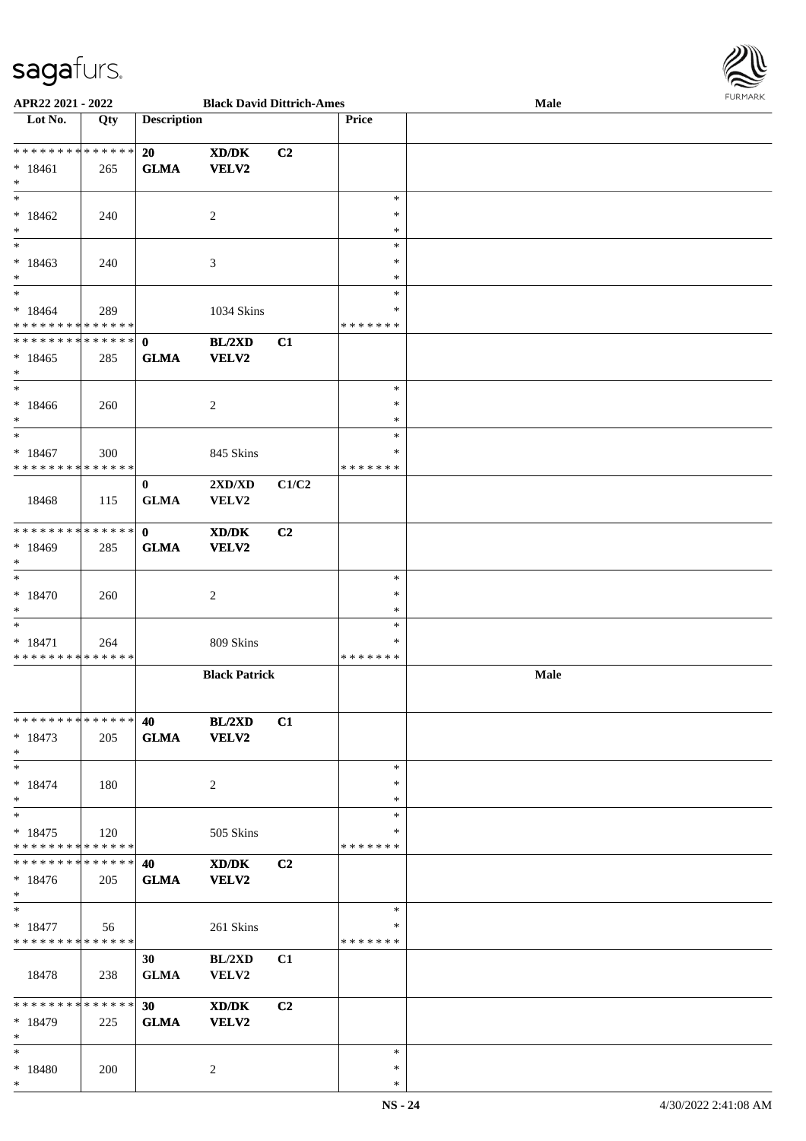

| APR22 2021 - 2022                                                |     |                                | <b>Black David Dittrich-Ames</b>          |                |                              | Male | <b>FUNITANN</b> |
|------------------------------------------------------------------|-----|--------------------------------|-------------------------------------------|----------------|------------------------------|------|-----------------|
| Lot No.                                                          | Qty | <b>Description</b>             |                                           |                | <b>Price</b>                 |      |                 |
|                                                                  |     |                                |                                           |                |                              |      |                 |
| * * * * * * * * <mark>* * * * * * *</mark><br>$*18461$<br>$*$    | 265 | 20<br><b>GLMA</b>              | XD/DK<br>VELV2                            | C2             |                              |      |                 |
| $*$ $-$<br>$*18462$<br>$*$                                       | 240 |                                | 2                                         |                | $\ast$<br>∗<br>*             |      |                 |
| $\overline{\phantom{0}}$<br>$*18463$<br>$*$                      | 240 |                                | 3                                         |                | $\ast$<br>∗<br>$\ast$        |      |                 |
| $*$<br>$* 18464$<br>* * * * * * * * * * * * * *                  | 289 |                                | 1034 Skins                                |                | $\ast$<br>*<br>* * * * * * * |      |                 |
| * * * * * * * * * * * * * * *<br>$*18465$<br>$*$                 | 285 | $\mathbf{0}$<br><b>GLMA</b>    | BL/2XD<br>VELV2                           | C1             |                              |      |                 |
| $*$<br>$* 18466$<br>$*$                                          | 260 |                                | 2                                         |                | $\ast$<br>$\ast$<br>$\ast$   |      |                 |
| $*$<br>$* 18467$<br>* * * * * * * * * * * * * * *                | 300 |                                | 845 Skins                                 |                | $\ast$<br>$\ast$<br>*******  |      |                 |
| 18468                                                            | 115 | $\bf{0}$<br><b>GLMA</b>        | $2{\bf X}{\bf D}/{\bf X}{\bf D}$<br>VELV2 | C1/C2          |                              |      |                 |
| ******** <mark>******</mark><br>* 18469<br>$*$                   | 285 | $\mathbf{0}$<br><b>GLMA</b>    | XD/DK<br><b>VELV2</b>                     | C2             |                              |      |                 |
| $*$<br>$* 18470$<br>$*$                                          | 260 |                                | 2                                         |                | $\ast$<br>$\ast$<br>$\ast$   |      |                 |
| $*$<br>$* 18471$<br>* * * * * * * * * * * * * *                  | 264 |                                | 809 Skins                                 |                | $\ast$<br>*<br>*******       |      |                 |
|                                                                  |     |                                | <b>Black Patrick</b>                      |                |                              | Male |                 |
| ******** <mark>******</mark><br>$* 18473$<br>$*$                 | 205 | 40 – 10                        | <b>BL/2XD</b><br>GLMA VELV2               | C1             |                              |      |                 |
| $*$ $-$<br>$* 18474$<br>$*$                                      | 180 |                                | 2                                         |                | $\ast$<br>$\ast$<br>$\ast$   |      |                 |
| $*$<br>$*18475$<br>* * * * * * * * * * * * * * <mark>*</mark>    | 120 |                                | 505 Skins                                 |                | $\ast$<br>∗<br>* * * * * * * |      |                 |
| **************<br>$*18476$<br>$*$                                | 205 | 40<br><b>GLMA</b>              | XD/DK<br><b>VELV2</b>                     | C <sub>2</sub> |                              |      |                 |
| $*$ $-$<br>$* 18477$<br>* * * * * * * * <mark>* * * * * *</mark> | 56  |                                | 261 Skins                                 |                | $\ast$<br>*<br>* * * * * * * |      |                 |
| 18478                                                            | 238 | 30 <sup>1</sup><br><b>GLMA</b> | BL/2XD<br><b>VELV2</b>                    | C1             |                              |      |                 |
| **************<br>$*18479$<br>$*$ $-$                            | 225 | 30<br><b>GLMA</b>              | XD/DK<br><b>VELV2</b>                     | C <sub>2</sub> |                              |      |                 |
| $*$ and $*$<br>* 18480<br>$*$                                    | 200 |                                | 2                                         |                | $\ast$<br>$\ast$<br>$\ast$   |      |                 |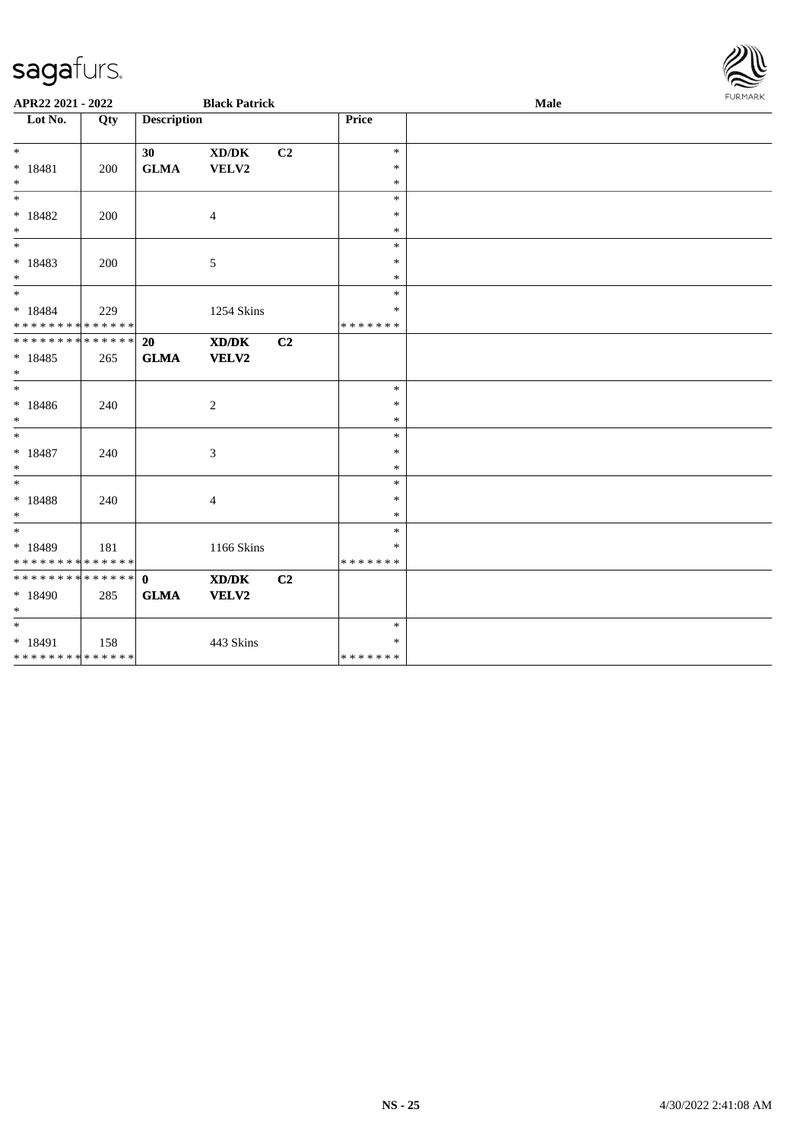| APR22 2021 - 2022                                             |     |                    | <b>Black Patrick</b> |                |                  | Male | <b>FURMARK</b> |
|---------------------------------------------------------------|-----|--------------------|----------------------|----------------|------------------|------|----------------|
| Lot No.                                                       | Qty | <b>Description</b> |                      |                | Price            |      |                |
|                                                               |     |                    |                      |                |                  |      |                |
| $*$                                                           |     | 30                 | XD/DK                | C <sub>2</sub> | $\ast$           |      |                |
| $* 18481$                                                     | 200 | <b>GLMA</b>        | VELV2                |                | $\ast$           |      |                |
| $*$<br>$*$                                                    |     |                    |                      |                | $\ast$<br>$\ast$ |      |                |
|                                                               |     |                    |                      |                | $\ast$           |      |                |
| $* 18482$<br>$*$                                              | 200 |                    | 4                    |                | $\ast$           |      |                |
|                                                               |     |                    |                      |                | $\ast$           |      |                |
| $* 18483$                                                     | 200 |                    | 5                    |                | $\ast$           |      |                |
| $*$                                                           |     |                    |                      |                | $\ast$           |      |                |
|                                                               |     |                    |                      |                | $\ast$           |      |                |
| $* 18484$                                                     | 229 |                    | 1254 Skins           |                | *                |      |                |
| * * * * * * * * <mark>* * * * * *</mark>                      |     |                    |                      |                | *******          |      |                |
| * * * * * * * * * * * * * * <mark>*</mark>                    |     | <b>20</b>          | XD/DK                | C <sub>2</sub> |                  |      |                |
| $* 18485$                                                     | 265 | <b>GLMA</b>        | VELV2                |                |                  |      |                |
| $*$                                                           |     |                    |                      |                |                  |      |                |
| $*$                                                           |     |                    |                      |                | $\ast$           |      |                |
| * 18486                                                       | 240 |                    | $\overline{c}$       |                | $\ast$           |      |                |
| $*$                                                           |     |                    |                      |                | $\ast$           |      |                |
| $*$                                                           |     |                    |                      |                | $\ast$           |      |                |
| $* 18487$                                                     | 240 |                    | 3                    |                | $\ast$           |      |                |
| $*$                                                           |     |                    |                      |                | $\ast$           |      |                |
| $\overline{\ast}$                                             |     |                    |                      |                | $\ast$           |      |                |
| $* 18488$                                                     | 240 |                    | 4                    |                | $\ast$           |      |                |
| $*$                                                           |     |                    |                      |                | $\ast$           |      |                |
|                                                               |     |                    |                      |                | $\ast$           |      |                |
| $* 18489$                                                     | 181 |                    | 1166 Skins           |                | *                |      |                |
| * * * * * * * * * * * * * * *<br>******** <mark>******</mark> |     |                    |                      |                | *******          |      |                |
|                                                               |     | $\mathbf{0}$       | XD/DK                | C2             |                  |      |                |
| * 18490<br>$\ast$                                             | 285 | <b>GLMA</b>        | <b>VELV2</b>         |                |                  |      |                |
| $*$                                                           |     |                    |                      |                | $\ast$           |      |                |
| $* 18491$                                                     | 158 |                    | 443 Skins            |                | $\ast$           |      |                |
| * * * * * * * * * * * * * * *                                 |     |                    |                      |                | * * * * * * *    |      |                |
|                                                               |     |                    |                      |                |                  |      |                |

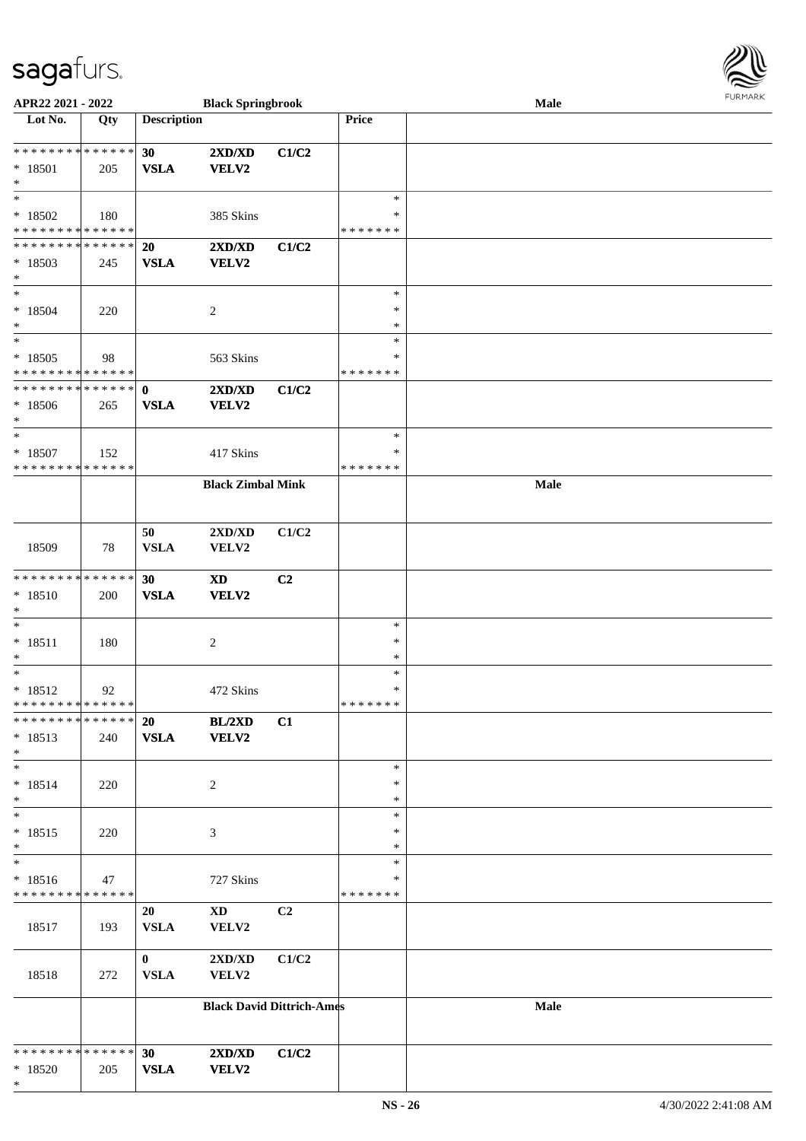

| APR22 2021 - 2022           |     |                    | <b>Black Springbrook</b>         |                |               | <b>Male</b> |  |
|-----------------------------|-----|--------------------|----------------------------------|----------------|---------------|-------------|--|
| Lot No.                     | Qty | <b>Description</b> |                                  |                | Price         |             |  |
|                             |     |                    |                                  |                |               |             |  |
| * * * * * * * * * * * * * * |     | 30                 | 2XD/XD                           | C1/C2          |               |             |  |
| * 18501                     | 205 | <b>VSLA</b>        | VELV2                            |                |               |             |  |
| $\ast$                      |     |                    |                                  |                |               |             |  |
| $\ast$                      |     |                    |                                  |                | $\ast$        |             |  |
|                             |     |                    |                                  |                | ∗             |             |  |
| * 18502                     | 180 |                    | 385 Skins                        |                |               |             |  |
| * * * * * * * * * * * * * * |     |                    |                                  |                | * * * * * * * |             |  |
| * * * * * * * * * * * * * * |     | 20                 | 2XD/XD                           | C1/C2          |               |             |  |
| * 18503                     | 245 | <b>VSLA</b>        | VELV2                            |                |               |             |  |
| $\ast$                      |     |                    |                                  |                |               |             |  |
| $\ast$                      |     |                    |                                  |                | $\ast$        |             |  |
| $* 18504$                   | 220 |                    | $\sqrt{2}$                       |                | $\ast$        |             |  |
| $\ast$                      |     |                    |                                  |                | $\ast$        |             |  |
| $\ast$                      |     |                    |                                  |                | $\ast$        |             |  |
| $*18505$                    | 98  |                    | 563 Skins                        |                | $\ast$        |             |  |
| * * * * * * * * * * * * * * |     |                    |                                  |                | * * * * * * * |             |  |
| * * * * * * * * * * * * * * |     |                    |                                  |                |               |             |  |
|                             |     | $\mathbf 0$        | 2XD/XD                           | C1/C2          |               |             |  |
| $* 18506$                   | 265 | <b>VSLA</b>        | VELV2                            |                |               |             |  |
| $\ast$                      |     |                    |                                  |                |               |             |  |
| $\ast$                      |     |                    |                                  |                | $\ast$        |             |  |
| $* 18507$                   | 152 |                    | 417 Skins                        |                | $\ast$        |             |  |
| * * * * * * * * * * * * * * |     |                    |                                  |                | * * * * * * * |             |  |
|                             |     |                    | <b>Black Zimbal Mink</b>         |                |               | Male        |  |
|                             |     |                    |                                  |                |               |             |  |
|                             |     |                    |                                  |                |               |             |  |
|                             |     | 50                 | 2XD/XD                           | C1/C2          |               |             |  |
|                             |     | <b>VSLA</b>        |                                  |                |               |             |  |
| 18509                       | 78  |                    | VELV2                            |                |               |             |  |
|                             |     |                    |                                  |                |               |             |  |
| * * * * * * * * * * * * * * |     | 30                 | $\boldsymbol{\mathrm{XD}}$       | C <sub>2</sub> |               |             |  |
| $* 18510$                   | 200 | <b>VSLA</b>        | VELV2                            |                |               |             |  |
| $\ast$                      |     |                    |                                  |                |               |             |  |
| $\ast$                      |     |                    |                                  |                | $\ast$        |             |  |
| $* 18511$                   | 180 |                    | $\sqrt{2}$                       |                | $\ast$        |             |  |
| $\ast$                      |     |                    |                                  |                | $\ast$        |             |  |
| $\ast$                      |     |                    |                                  |                | $\ast$        |             |  |
| $* 18512$                   | 92  |                    | 472 Skins                        |                | $\ast$        |             |  |
| * * * * * * * * * * * * * * |     |                    |                                  |                | *******       |             |  |
| * * * * * * * * * * * * * * |     | 20                 | BL/2XD                           | C1             |               |             |  |
|                             |     |                    |                                  |                |               |             |  |
| $* 18513$                   | 240 | <b>VSLA</b>        | <b>VELV2</b>                     |                |               |             |  |
| $\ast$                      |     |                    |                                  |                |               |             |  |
| $\ast$                      |     |                    |                                  |                | $\ast$        |             |  |
| $* 18514$                   | 220 |                    | 2                                |                | $\ast$        |             |  |
| $\ast$                      |     |                    |                                  |                | $\ast$        |             |  |
| $\ast$                      |     |                    |                                  |                | $\ast$        |             |  |
| $* 18515$                   | 220 |                    | 3                                |                | $\ast$        |             |  |
| $\ast$                      |     |                    |                                  |                | $\ast$        |             |  |
| $\overline{\phantom{1}}$    |     |                    |                                  |                | $\ast$        |             |  |
| $* 18516$                   | 47  |                    | 727 Skins                        |                | *             |             |  |
| * * * * * * * * * * * * * * |     |                    |                                  |                | * * * * * * * |             |  |
|                             |     | 20                 |                                  | C <sub>2</sub> |               |             |  |
|                             |     |                    | $\mathbf{X}\mathbf{D}$           |                |               |             |  |
| 18517                       | 193 | <b>VSLA</b>        | VELV2                            |                |               |             |  |
|                             |     |                    |                                  |                |               |             |  |
|                             |     | $\mathbf{0}$       | 2XD/XD                           | C1/C2          |               |             |  |
| 18518                       | 272 | <b>VSLA</b>        | VELV2                            |                |               |             |  |
|                             |     |                    |                                  |                |               |             |  |
|                             |     |                    | <b>Black David Dittrich-Ames</b> |                |               | Male        |  |
|                             |     |                    |                                  |                |               |             |  |
|                             |     |                    |                                  |                |               |             |  |
| * * * * * * * * * * * * * * |     | 30                 | 2XD/XD                           | C1/C2          |               |             |  |
| $*18520$                    | 205 | <b>VSLA</b>        | <b>VELV2</b>                     |                |               |             |  |
| $\ast$                      |     |                    |                                  |                |               |             |  |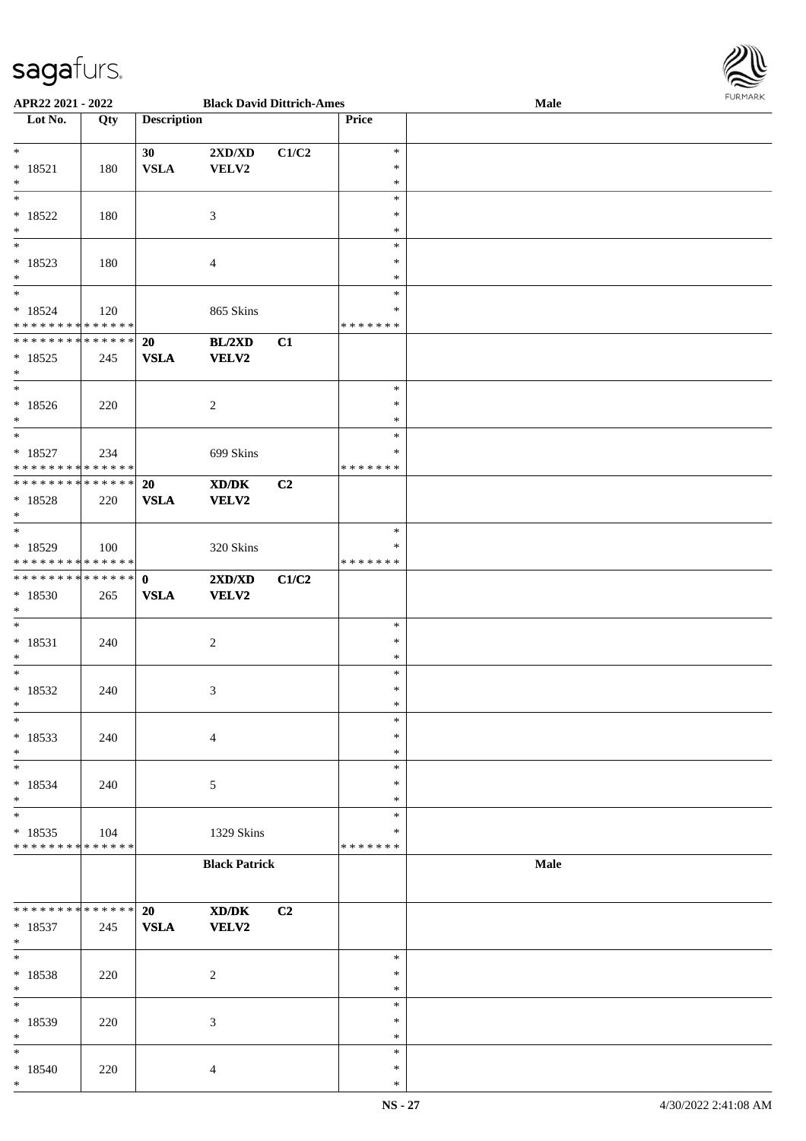

| APR22 2021 - 2022                          |     |                    | <b>Black David Dittrich-Ames</b> |       |               | . 0.13. 0.03. 0.002<br>Male |  |
|--------------------------------------------|-----|--------------------|----------------------------------|-------|---------------|-----------------------------|--|
| Lot No.                                    | Qty | <b>Description</b> |                                  |       | Price         |                             |  |
|                                            |     |                    |                                  |       |               |                             |  |
| $*$                                        |     | 30                 | $2{\bf X}{\bf D}/{\bf X}{\bf D}$ | C1/C2 | $\ast$        |                             |  |
|                                            |     |                    |                                  |       | $\ast$        |                             |  |
| $* 18521$                                  | 180 | <b>VSLA</b>        | <b>VELV2</b>                     |       |               |                             |  |
| $*$                                        |     |                    |                                  |       | $\ast$        |                             |  |
| $\overline{\ast}$                          |     |                    |                                  |       | $\ast$        |                             |  |
| $*18522$                                   | 180 |                    | 3                                |       | $\ast$        |                             |  |
| $\ast$                                     |     |                    |                                  |       | $\ast$        |                             |  |
|                                            |     |                    |                                  |       | $\ast$        |                             |  |
| $* 18523$                                  |     |                    |                                  |       | $\ast$        |                             |  |
|                                            | 180 |                    | $\overline{4}$                   |       |               |                             |  |
| $\ast$                                     |     |                    |                                  |       | $\ast$        |                             |  |
| $*$                                        |     |                    |                                  |       | $\ast$        |                             |  |
| $* 18524$                                  | 120 |                    | 865 Skins                        |       | ∗             |                             |  |
| * * * * * * * * <mark>* * * * * *</mark>   |     |                    |                                  |       | * * * * * * * |                             |  |
| * * * * * * * * <mark>* * * * * * *</mark> |     | 20                 | BL/2XD                           | C1    |               |                             |  |
| $*18525$                                   | 245 | <b>VSLA</b>        | <b>VELV2</b>                     |       |               |                             |  |
|                                            |     |                    |                                  |       |               |                             |  |
| $*$                                        |     |                    |                                  |       |               |                             |  |
| $*$                                        |     |                    |                                  |       | $\ast$        |                             |  |
| $*18526$                                   | 220 |                    | 2                                |       | $\ast$        |                             |  |
| $*$                                        |     |                    |                                  |       | $\ast$        |                             |  |
|                                            |     |                    |                                  |       | $\ast$        |                             |  |
| $* 18527$                                  | 234 |                    | 699 Skins                        |       | ∗             |                             |  |
| * * * * * * * * <mark>* * * * * * *</mark> |     |                    |                                  |       | * * * * * * * |                             |  |
|                                            |     |                    |                                  |       |               |                             |  |
|                                            |     | 20                 | XD/DK                            | C2    |               |                             |  |
| $* 18528$                                  | 220 | <b>VSLA</b>        | <b>VELV2</b>                     |       |               |                             |  |
| $\ast$                                     |     |                    |                                  |       |               |                             |  |
|                                            |     |                    |                                  |       | $\ast$        |                             |  |
| $* 18529$                                  | 100 |                    | 320 Skins                        |       | ∗             |                             |  |
| * * * * * * * * <mark>* * * * * * *</mark> |     |                    |                                  |       | * * * * * * * |                             |  |
|                                            |     |                    |                                  |       |               |                             |  |
| ************** 0                           |     |                    | 2XD/XD                           | C1/C2 |               |                             |  |
| * 18530                                    | 265 | <b>VSLA</b>        | <b>VELV2</b>                     |       |               |                             |  |
| $*$                                        |     |                    |                                  |       |               |                             |  |
| $\ast$                                     |     |                    |                                  |       | $\ast$        |                             |  |
| $* 18531$                                  | 240 |                    | $\sqrt{2}$                       |       | $\ast$        |                             |  |
| $\ast$                                     |     |                    |                                  |       | $\ast$        |                             |  |
|                                            |     |                    |                                  |       |               |                             |  |
| $*$                                        |     |                    |                                  |       | $\ast$        |                             |  |
| $*18532$                                   | 240 |                    | 3                                |       | $\ast$        |                             |  |
| $\ddot{x}$                                 |     |                    |                                  |       | $\ast$        |                             |  |
| $\ast$                                     |     |                    |                                  |       | $\ast$        |                             |  |
| $*18533$                                   | 240 |                    | $\overline{4}$                   |       | $\ast$        |                             |  |
| $*$                                        |     |                    |                                  |       | $\ast$        |                             |  |
|                                            |     |                    |                                  |       |               |                             |  |
| $\ast$                                     |     |                    |                                  |       | $\ast$        |                             |  |
| $*18534$                                   | 240 |                    | 5                                |       | ∗             |                             |  |
| $\ast$                                     |     |                    |                                  |       | $\ast$        |                             |  |
|                                            |     |                    |                                  |       | $\ast$        |                             |  |
| $* 18535$                                  | 104 |                    | 1329 Skins                       |       | ∗             |                             |  |
| * * * * * * * * <mark>* * * * * * *</mark> |     |                    |                                  |       | * * * * * * * |                             |  |
|                                            |     |                    |                                  |       |               |                             |  |
|                                            |     |                    | <b>Black Patrick</b>             |       |               | <b>Male</b>                 |  |
|                                            |     |                    |                                  |       |               |                             |  |
|                                            |     |                    |                                  |       |               |                             |  |
| * * * * * * * * * * * * * * *              |     | 20                 | XD/DK                            | C2    |               |                             |  |
| $* 18537$                                  | 245 | <b>VSLA</b>        | <b>VELV2</b>                     |       |               |                             |  |
| $*$                                        |     |                    |                                  |       |               |                             |  |
| $*$                                        |     |                    |                                  |       | $\ast$        |                             |  |
|                                            |     |                    |                                  |       |               |                             |  |
| $* 18538$                                  | 220 |                    | 2                                |       | $\ast$        |                             |  |
| $*$                                        |     |                    |                                  |       | $\ast$        |                             |  |
|                                            |     |                    |                                  |       | $\ast$        |                             |  |
| * 18539                                    | 220 |                    | 3                                |       | $\ast$        |                             |  |
| $*$                                        |     |                    |                                  |       | $\ast$        |                             |  |
| $\ast$                                     |     |                    |                                  |       | $\ast$        |                             |  |
| $*18540$                                   |     |                    |                                  |       | $\ast$        |                             |  |
|                                            | 220 |                    | $\overline{4}$                   |       |               |                             |  |
| $\ast$                                     |     |                    |                                  |       | $\ast$        |                             |  |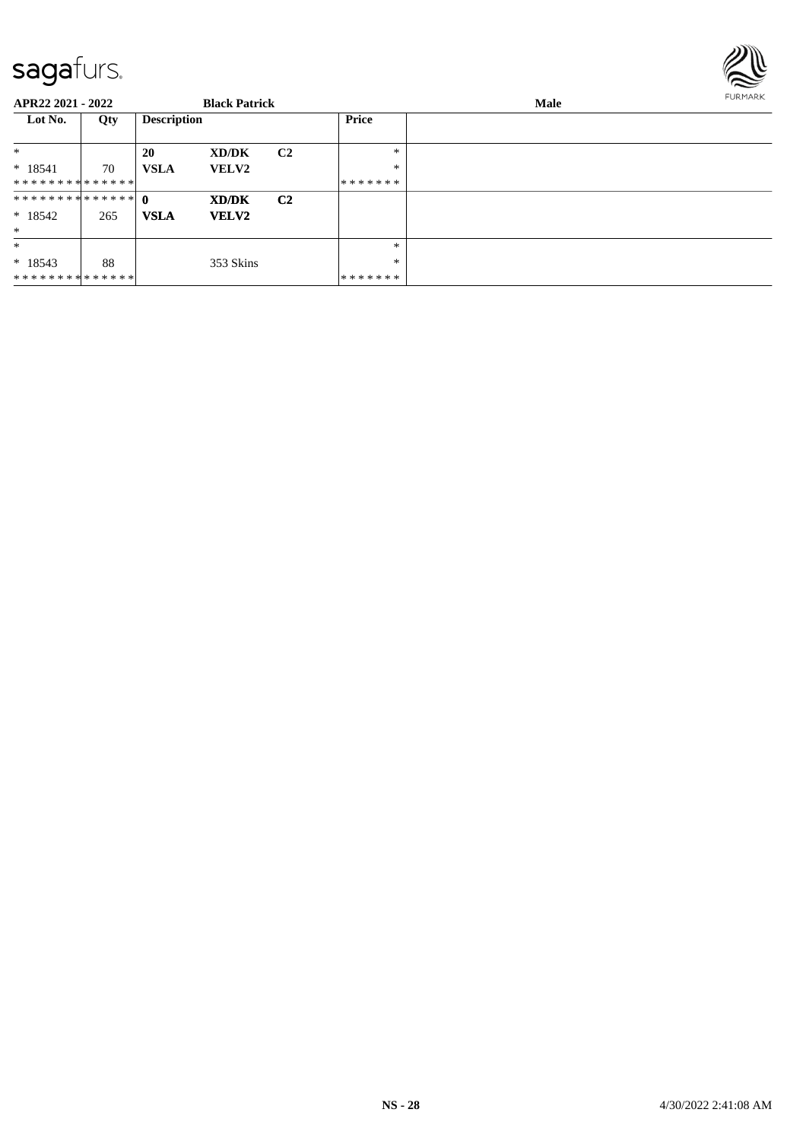

| APR22 2021 - 2022 |     |                    | <b>Black Patrick</b> |                |              | Male | <b>FURMARK</b> |
|-------------------|-----|--------------------|----------------------|----------------|--------------|------|----------------|
| Lot No.           | Qty | <b>Description</b> |                      |                | <b>Price</b> |      |                |
| $\ast$            |     | <b>20</b>          | XD/DK                | C <sub>2</sub> | $\ast$       |      |                |
| $*18541$          | 70  | <b>VSLA</b>        | <b>VELV2</b>         |                | $\ast$       |      |                |
| **************    |     |                    |                      |                | *******      |      |                |
| ************** 0  |     |                    | XD/DK                | C <sub>2</sub> |              |      |                |
| $*18542$          | 265 | <b>VSLA</b>        | <b>VELV2</b>         |                |              |      |                |
| $*$               |     |                    |                      |                |              |      |                |
| $*$               |     |                    |                      |                | $\ast$       |      |                |
| $* 18543$         | 88  |                    | 353 Skins            |                | $\ast$       |      |                |
| **************    |     |                    |                      |                | *******      |      |                |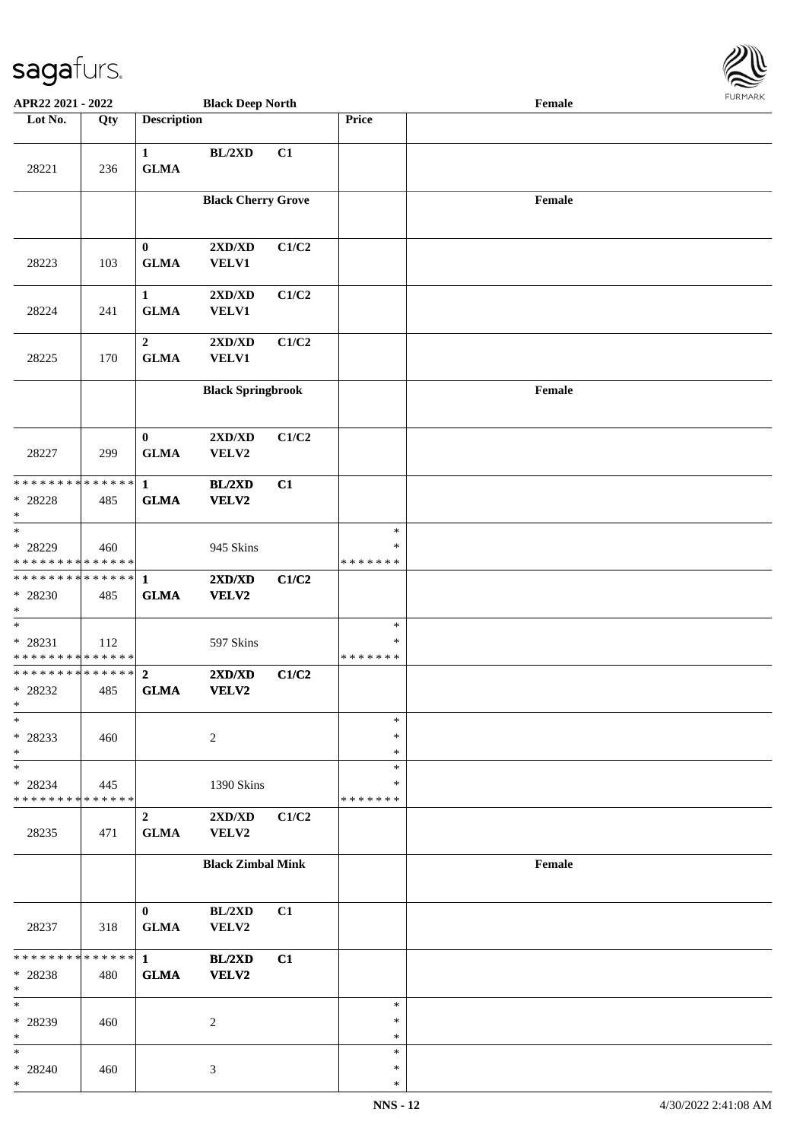

| APR22 2021 - 2022                                           |     |                                 | <b>Black Deep North</b>   |       |                                   | Female |  |
|-------------------------------------------------------------|-----|---------------------------------|---------------------------|-------|-----------------------------------|--------|--|
| Lot No.                                                     | Qty | <b>Description</b>              |                           |       | <b>Price</b>                      |        |  |
| 28221                                                       | 236 | $\mathbf{1}$<br><b>GLMA</b>     | $BL/2XD$                  | C1    |                                   |        |  |
|                                                             |     |                                 | <b>Black Cherry Grove</b> |       |                                   | Female |  |
| 28223                                                       | 103 | $\bf{0}$<br><b>GLMA</b>         | 2XD/XD<br><b>VELV1</b>    | C1/C2 |                                   |        |  |
| 28224                                                       | 241 | $\mathbf{1}$<br><b>GLMA</b>     | 2XD/XD<br><b>VELV1</b>    | C1/C2 |                                   |        |  |
| 28225                                                       | 170 | $\boldsymbol{2}$<br><b>GLMA</b> | 2XD/XD<br><b>VELV1</b>    | C1/C2 |                                   |        |  |
|                                                             |     |                                 | <b>Black Springbrook</b>  |       |                                   | Female |  |
| 28227                                                       | 299 | $\bf{0}$<br><b>GLMA</b>         | 2XD/XD<br>VELV2           | C1/C2 |                                   |        |  |
| * * * * * * * * * * * * * * *<br>$* 28228$<br>$\ast$        | 485 | $\mathbf{1}$<br><b>GLMA</b>     | BL/2XD<br>VELV2           | C1    |                                   |        |  |
| $\overline{\ast}$<br>* 28229<br>* * * * * * * * * * * * * * | 460 |                                 | 945 Skins                 |       | $\ast$<br>$\ast$<br>* * * * * * * |        |  |
| ******** <mark>******</mark><br>* 28230<br>$*$              | 485 | $\mathbf{1}$<br><b>GLMA</b>     | 2XD/XD<br>VELV2           | C1/C2 |                                   |        |  |
| $*$<br>* 28231<br>* * * * * * * * * * * * * *               | 112 |                                 | 597 Skins                 |       | $\ast$<br>$\ast$<br>* * * * * * * |        |  |
| * * * * * * * * * * * * * * *<br>* 28232<br>$*$             | 485 | $\overline{2}$<br><b>GLMA</b>   | 2XD/XD<br>VELV2           | C1/C2 |                                   |        |  |
| $\ast$<br>* 28233<br>$*$                                    | 460 |                                 | $\overline{c}$            |       | $\ast$<br>$\ast$<br>$\ast$        |        |  |
| $*$<br>* 28234<br>* * * * * * * * * * * * * *               | 445 |                                 | 1390 Skins                |       | $\ast$<br>∗<br>* * * * * * *      |        |  |
| 28235                                                       | 471 | $\overline{2}$<br><b>GLMA</b>   | 2XD/XD<br>VELV2           | C1/C2 |                                   |        |  |
|                                                             |     |                                 | <b>Black Zimbal Mink</b>  |       |                                   | Female |  |
| 28237                                                       | 318 | $\bf{0}$<br><b>GLMA</b>         | BL/2XD<br>VELV2           | C1    |                                   |        |  |
| * * * * * * * * * * * * * * *<br>* 28238<br>$*$             | 480 | $\mathbf{1}$<br><b>GLMA</b>     | BL/2XD<br>VELV2           | C1    |                                   |        |  |
| $*$<br>* 28239<br>$*$                                       | 460 |                                 | 2                         |       | $\ast$<br>$\ast$<br>$\ast$        |        |  |
| $\ast$<br>* 28240<br>$\ast$                                 | 460 |                                 | 3                         |       | $\ast$<br>$\ast$<br>$\ast$        |        |  |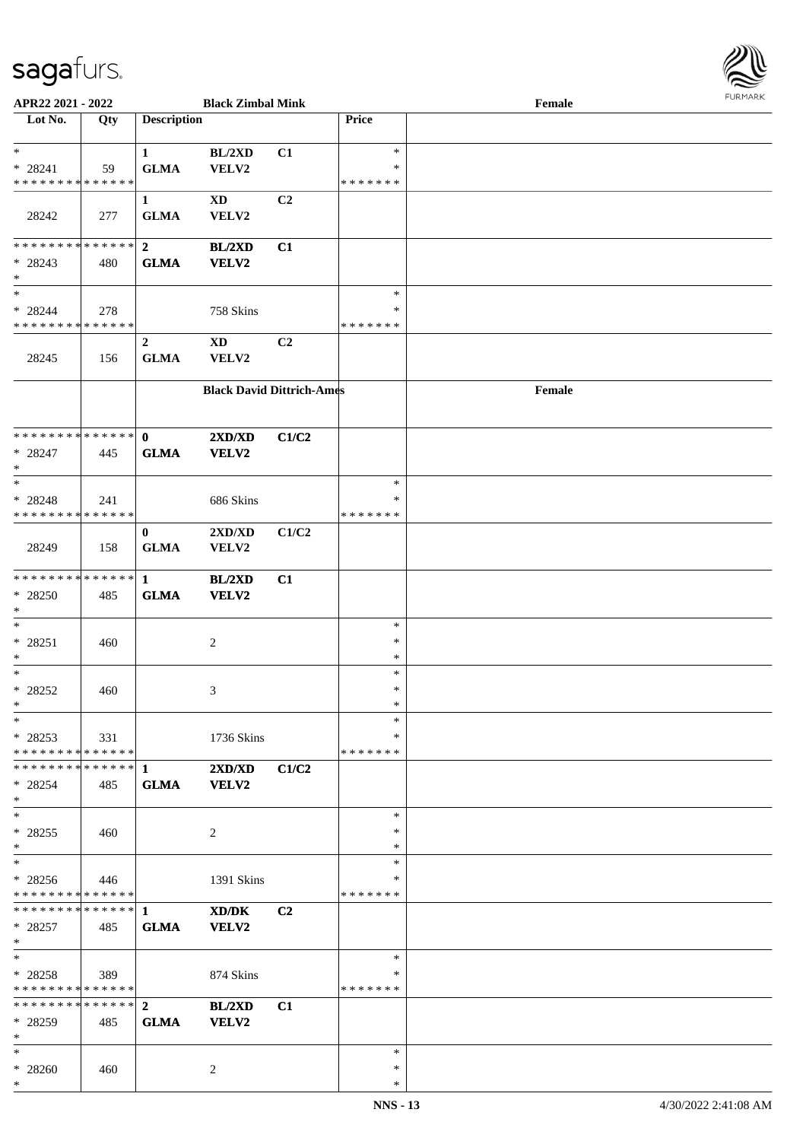

| APR22 2021 - 2022             |     |                    | <b>Black Zimbal Mink</b>                    |                |               | Female |
|-------------------------------|-----|--------------------|---------------------------------------------|----------------|---------------|--------|
| Lot No.                       | Qty | <b>Description</b> |                                             |                | Price         |        |
|                               |     |                    |                                             |                |               |        |
| $*$                           |     | $\mathbf{1}$       | BL/2XD                                      | C1             | $\ast$        |        |
| $* 28241$                     | 59  | <b>GLMA</b>        | VELV2                                       |                | ∗             |        |
| * * * * * * * * * * * * * *   |     |                    |                                             |                | * * * * * * * |        |
|                               |     | $\mathbf{1}$       | XD                                          | C <sub>2</sub> |               |        |
|                               |     |                    |                                             |                |               |        |
| 28242                         | 277 | <b>GLMA</b>        | VELV2                                       |                |               |        |
|                               |     |                    |                                             |                |               |        |
| * * * * * * * * * * * * * *   |     | $\boldsymbol{2}$   | BL/2XD                                      | C1             |               |        |
| $* 28243$                     | 480 | <b>GLMA</b>        | <b>VELV2</b>                                |                |               |        |
| $*$                           |     |                    |                                             |                |               |        |
| $*$                           |     |                    |                                             |                | $\ast$        |        |
| $* 28244$                     | 278 |                    | 758 Skins                                   |                | $\ast$        |        |
| * * * * * * * * * * * * * *   |     |                    |                                             |                | * * * * * * * |        |
|                               |     | $\boldsymbol{2}$   | <b>XD</b>                                   | C <sub>2</sub> |               |        |
| 28245                         | 156 | <b>GLMA</b>        | VELV2                                       |                |               |        |
|                               |     |                    |                                             |                |               |        |
|                               |     |                    | <b>Black David Dittrich-Ames</b>            |                |               | Female |
|                               |     |                    |                                             |                |               |        |
|                               |     |                    |                                             |                |               |        |
| * * * * * * * * * * * * * * * |     | $\mathbf{0}$       |                                             |                |               |        |
|                               |     |                    | $2{\bf X}{\bf D}/{\bf X}{\bf D}$            | C1/C2          |               |        |
| $* 28247$                     | 445 | <b>GLMA</b>        | VELV2                                       |                |               |        |
| $*$                           |     |                    |                                             |                |               |        |
| $*$                           |     |                    |                                             |                | $\ast$        |        |
| * 28248                       | 241 |                    | 686 Skins                                   |                | ∗             |        |
| * * * * * * * * * * * * * *   |     |                    |                                             |                | * * * * * * * |        |
|                               |     | $\bf{0}$           | 2XD/XD                                      | C1/C2          |               |        |
| 28249                         | 158 | <b>GLMA</b>        | VELV2                                       |                |               |        |
|                               |     |                    |                                             |                |               |        |
| * * * * * * * * * * * * * *   |     | $\mathbf{1}$       | BL/2XD                                      | C1             |               |        |
| $* 28250$                     | 485 | <b>GLMA</b>        | VELV2                                       |                |               |        |
| $*$                           |     |                    |                                             |                |               |        |
| $*$                           |     |                    |                                             |                | $\ast$        |        |
|                               |     |                    |                                             |                | $\ast$        |        |
| $* 28251$<br>$*$              | 460 |                    | 2                                           |                | $\ast$        |        |
| $*$                           |     |                    |                                             |                |               |        |
|                               |     |                    |                                             |                | $\ast$        |        |
| $* 28252$                     | 460 |                    | 3                                           |                | $\ast$        |        |
| $*$                           |     |                    |                                             |                | $\ast$        |        |
| $*$                           |     |                    |                                             |                | $\ast$        |        |
| $*28253$                      | 331 |                    | 1736 Skins                                  |                | ∗             |        |
| * * * * * * * * * * * * * * * |     |                    |                                             |                | *******       |        |
|                               |     |                    | 2XD/XD                                      | C1/C2          |               |        |
| * 28254                       | 485 | <b>GLMA</b>        | <b>VELV2</b>                                |                |               |        |
| $*$                           |     |                    |                                             |                |               |        |
| $*$                           |     |                    |                                             |                | $\ast$        |        |
| $* 28255$                     | 460 |                    | 2                                           |                | $\ast$        |        |
| $*$                           |     |                    |                                             |                | $\ast$        |        |
| $*$                           |     |                    |                                             |                | $\ast$        |        |
| $* 28256$                     | 446 |                    |                                             |                | ∗             |        |
| * * * * * * * * * * * * * *   |     |                    | 1391 Skins                                  |                | *******       |        |
|                               |     |                    |                                             |                |               |        |
|                               |     |                    | $\mathbf{X}\mathbf{D}/\mathbf{D}\mathbf{K}$ | C <sub>2</sub> |               |        |
| $* 28257$                     | 485 | <b>GLMA</b>        | VELV2                                       |                |               |        |
| $*$                           |     |                    |                                             |                |               |        |
| $*$                           |     |                    |                                             |                | $\ast$        |        |
| $*28258$                      | 389 |                    | 874 Skins                                   |                | ∗             |        |
| * * * * * * * * * * * * * *   |     |                    |                                             |                | *******       |        |
| ************** 2              |     |                    | BL/2XD                                      | C1             |               |        |
| * 28259                       | 485 | <b>GLMA</b>        | <b>VELV2</b>                                |                |               |        |
| $*$                           |     |                    |                                             |                |               |        |
| $*$                           |     |                    |                                             |                | $\ast$        |        |
| * 28260                       | 460 |                    | 2                                           |                | $\ast$        |        |
| $\ast$                        |     |                    |                                             |                | *             |        |
|                               |     |                    |                                             |                |               |        |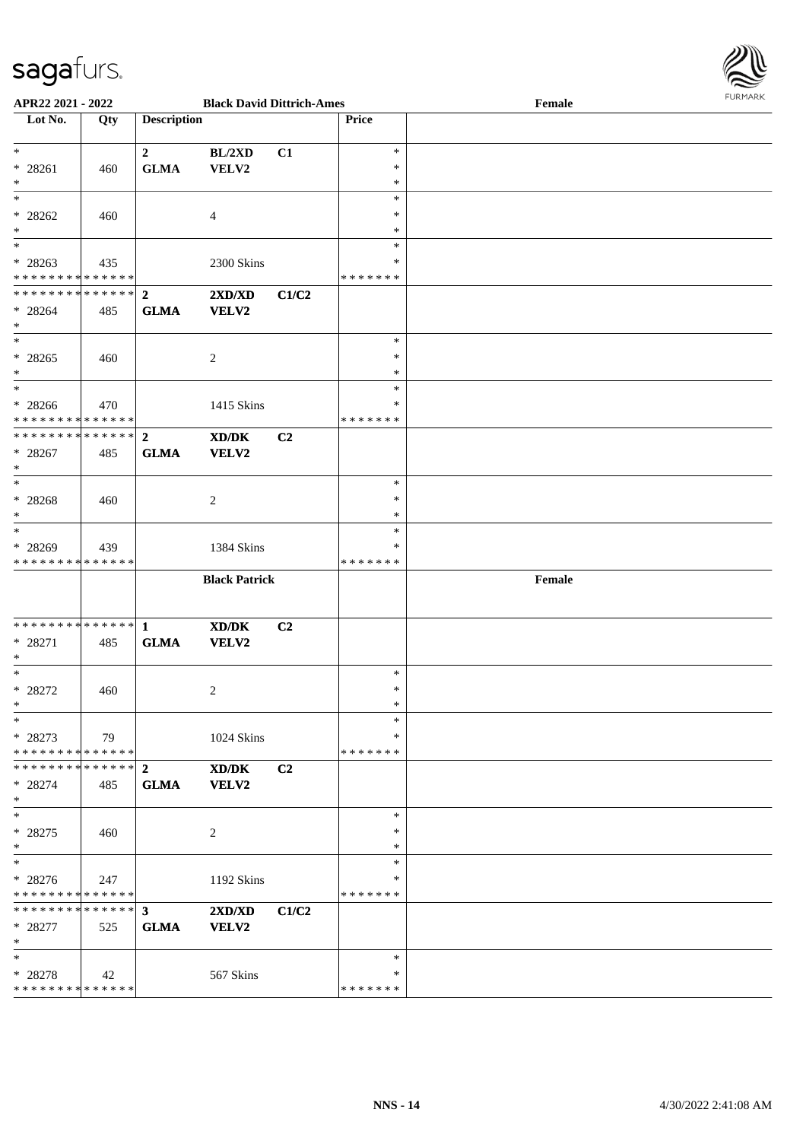

| APR22 2021 - 2022                                                                 |     |                               | <b>Black David Dittrich-Ames</b>                                                                                     |       |                                   | Female | <b>FUNITANN</b> |
|-----------------------------------------------------------------------------------|-----|-------------------------------|----------------------------------------------------------------------------------------------------------------------|-------|-----------------------------------|--------|-----------------|
| Lot No.                                                                           | Qty | <b>Description</b>            |                                                                                                                      |       | <b>Price</b>                      |        |                 |
| $\ddot{x}$<br>$* 28261$<br>$\ast$                                                 | 460 | $\mathbf{2}$<br><b>GLMA</b>   | BL/2XD<br>VELV2                                                                                                      | C1    | $\ast$<br>$\ast$<br>$\ast$        |        |                 |
| $* 28262$<br>$*$                                                                  | 460 |                               | $\overline{4}$                                                                                                       |       | $\ast$<br>$\ast$<br>$\ast$        |        |                 |
| $* 28263$<br>* * * * * * * * <mark>* * * * * *</mark>                             | 435 |                               | 2300 Skins                                                                                                           |       | $\ast$<br>∗<br>*******            |        |                 |
| ************** <mark>2</mark><br>$* 28264$<br>$\ast$                              | 485 | <b>GLMA</b>                   | 2XD/XD<br><b>VELV2</b>                                                                                               | C1/C2 |                                   |        |                 |
| $*$<br>$* 28265$<br>$\ast$                                                        | 460 |                               | 2                                                                                                                    |       | $\ast$<br>$\ast$<br>$\ast$        |        |                 |
| $\overline{\phantom{0}}$<br>$* 28266$<br>* * * * * * * * <mark>* * * * * *</mark> | 470 |                               | 1415 Skins                                                                                                           |       | $\ast$<br>$\ast$<br>* * * * * * * |        |                 |
| * * * * * * * * <mark>* * * * * * *</mark><br>* 28267<br>$\ast$                   | 485 | $\overline{2}$<br><b>GLMA</b> | $\boldsymbol{\text{X}}\boldsymbol{\text{D}}\boldsymbol{/}\boldsymbol{\text{D}}\boldsymbol{\text{K}}$<br><b>VELV2</b> | C2    |                                   |        |                 |
| $* 28268$<br>$*$                                                                  | 460 |                               | 2                                                                                                                    |       | $\ast$<br>$\ast$<br>∗             |        |                 |
| $\ast$<br>* 28269<br>* * * * * * * * <mark>* * * * * * *</mark>                   | 439 |                               | 1384 Skins                                                                                                           |       | $\ast$<br>∗<br>*******            |        |                 |
|                                                                                   |     |                               | <b>Black Patrick</b>                                                                                                 |       |                                   | Female |                 |
| * 28271<br>$*$                                                                    | 485 | <b>GLMA</b>                   | XD/DK<br><b>VELV2</b>                                                                                                | C2    |                                   |        |                 |
| $*$<br>* 28272<br>$\ast$                                                          | 460 |                               | 2                                                                                                                    |       | $\ast$<br>$\ast$<br>$\ast$        |        |                 |
| $\ast$<br>* 28273<br>* * * * * * * * * * * * * * <mark>*</mark>                   | 79  |                               | 1024 Skins                                                                                                           |       | $\ast$<br>∗<br>*******            |        |                 |
| * * * * * * * * * * * * * * <mark>*</mark><br>$* 28274$<br>$\ast$                 | 485 | $\overline{2}$<br><b>GLMA</b> | XD/DK<br><b>VELV2</b>                                                                                                | C2    |                                   |        |                 |
| $\ast$<br>$* 28275$<br>$\ast$                                                     | 460 |                               | 2                                                                                                                    |       | $\ast$<br>$\ast$<br>$\ast$        |        |                 |
| $* 28276$<br>* * * * * * * * <mark>* * * * * *</mark>                             | 247 |                               | 1192 Skins                                                                                                           |       | $\ast$<br>∗<br>* * * * * * *      |        |                 |
| $* 28277$<br>$\ast$                                                               | 525 | <b>GLMA</b>                   | 2XD/XD<br><b>VELV2</b>                                                                                               | C1/C2 |                                   |        |                 |
| $\ast$<br>$* 28278$<br>* * * * * * * * <mark>* * * * * *</mark>                   | 42  |                               | 567 Skins                                                                                                            |       | $\ast$<br>∗<br>*******            |        |                 |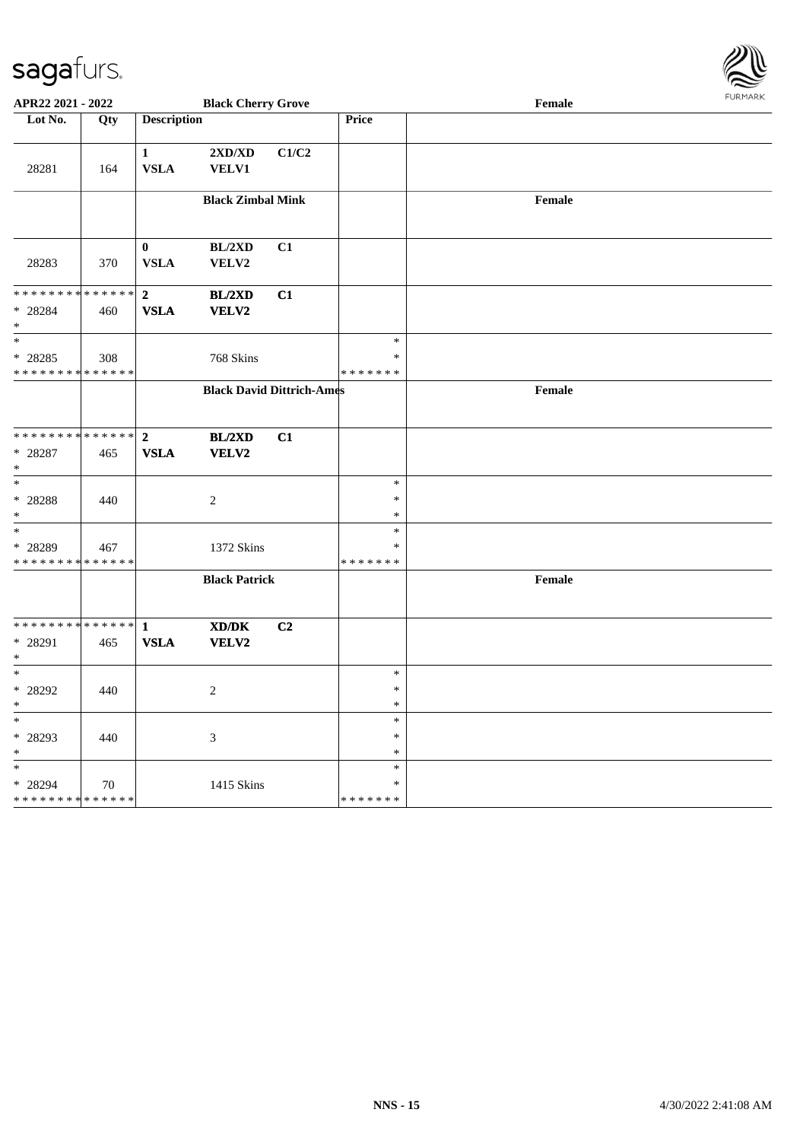

| APR22 2021 - 2022                                                 |     |                               | <b>Black Cherry Grove</b>                                                                                            |       |                                   | Female |  |
|-------------------------------------------------------------------|-----|-------------------------------|----------------------------------------------------------------------------------------------------------------------|-------|-----------------------------------|--------|--|
| Lot No.                                                           | Qty | <b>Description</b>            |                                                                                                                      |       | Price                             |        |  |
| 28281                                                             | 164 | $\mathbf{1}$<br><b>VSLA</b>   | $2{\bf X}{\bf D}/{\bf X}{\bf D}$<br><b>VELV1</b>                                                                     | C1/C2 |                                   |        |  |
|                                                                   |     |                               | <b>Black Zimbal Mink</b>                                                                                             |       |                                   | Female |  |
| 28283                                                             | 370 | $\bf{0}$<br><b>VSLA</b>       | BL/2XD<br>VELV2                                                                                                      | C1    |                                   |        |  |
| * * * * * * * * <mark>* * * * * * *</mark><br>$* 28284$<br>$\ast$ | 460 | $\overline{2}$<br><b>VSLA</b> | BL/2XD<br><b>VELV2</b>                                                                                               | C1    |                                   |        |  |
| $\ast$<br>* 28285<br>* * * * * * * * <mark>* * * * * * *</mark>   | 308 |                               | 768 Skins                                                                                                            |       | $\ast$<br>$\ast$<br>* * * * * * * |        |  |
|                                                                   |     |                               | <b>Black David Dittrich-Ames</b>                                                                                     |       |                                   | Female |  |
| * * * * * * * * <mark>* * * * * * *</mark><br>* 28287<br>$\ast$   | 465 | $\overline{2}$<br><b>VSLA</b> | BL/2XD<br><b>VELV2</b>                                                                                               | C1    |                                   |        |  |
| $\ast$<br>* 28288<br>$\ast$                                       | 440 |                               | 2                                                                                                                    |       | $\ast$<br>$\ast$<br>$\ast$        |        |  |
| $\overline{\ast}$<br>* 28289<br>* * * * * * * * * * * * * *       | 467 |                               | 1372 Skins                                                                                                           |       | $\ast$<br>$\ast$<br>* * * * * * * |        |  |
|                                                                   |     |                               | <b>Black Patrick</b>                                                                                                 |       |                                   | Female |  |
| * 28291<br>$\ast$                                                 | 465 | <b>VSLA</b>                   | $\boldsymbol{\text{X}}\boldsymbol{\text{D}}\boldsymbol{/}\boldsymbol{\text{D}}\boldsymbol{\text{K}}$<br><b>VELV2</b> | C2    |                                   |        |  |
| $\ast$<br>* 28292<br>$\ddot{x}$                                   | 440 |                               | $\overline{2}$                                                                                                       |       | $\ast$<br>$\ast$<br>$\ast$        |        |  |
| $\ast$<br>* 28293<br>$\ast$                                       | 440 |                               | 3                                                                                                                    |       | $\ast$<br>$\ast$<br>$\ast$        |        |  |
| $\ast$<br>* 28294<br>* * * * * * * * <mark>* * * * * * *</mark>   | 70  |                               | 1415 Skins                                                                                                           |       | $\ast$<br>∗<br>* * * * * * *      |        |  |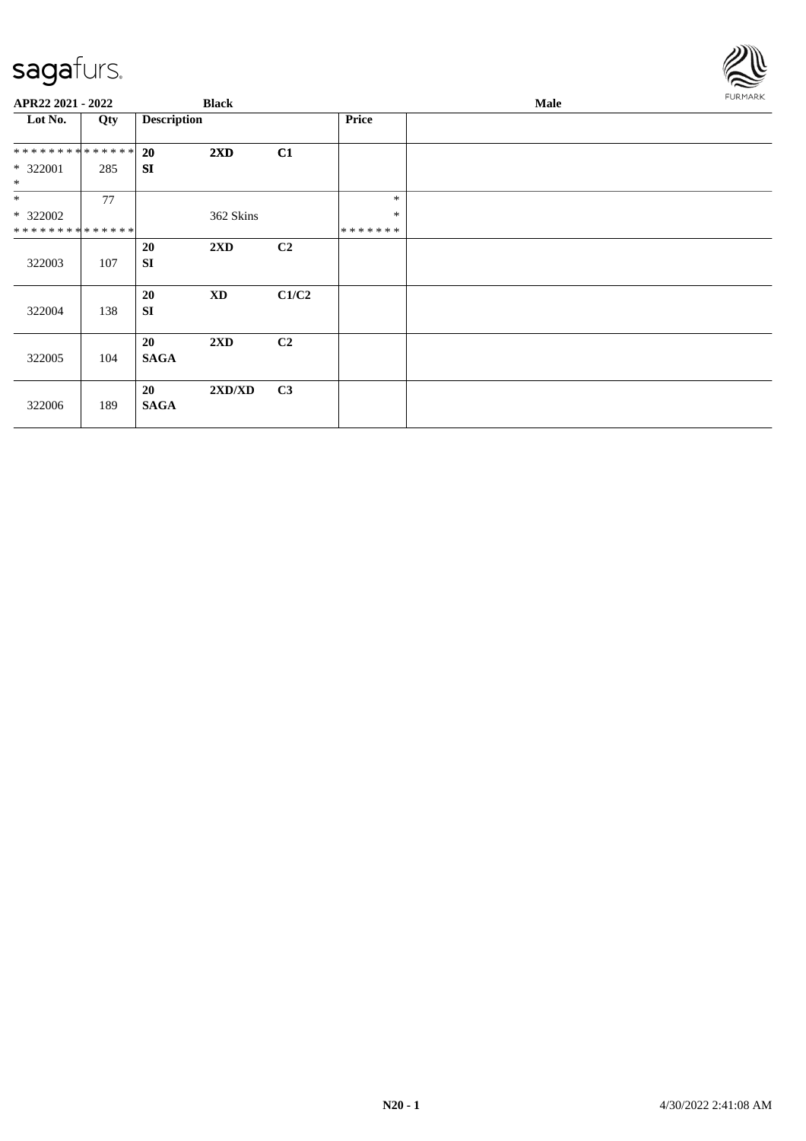

| APR22 2021 - 2022            |     | <b>Black</b>           |                         |                |         | <b>FURMARK</b> |  |
|------------------------------|-----|------------------------|-------------------------|----------------|---------|----------------|--|
| Lot No.                      | Qty | <b>Description</b>     |                         |                | Price   |                |  |
| ******** <mark>******</mark> |     | <b>20</b>              | $2\mathbf{X}\mathbf{D}$ | C1             |         |                |  |
| $* 322001$<br>$\ast$         | 285 | <b>SI</b>              |                         |                |         |                |  |
| $*$                          | 77  |                        |                         |                | $\ast$  |                |  |
| * 322002                     |     |                        | 362 Skins               |                | $\ast$  |                |  |
| * * * * * * * * * * * * * *  |     |                        |                         |                | ******* |                |  |
| 322003                       | 107 | <b>20</b><br><b>SI</b> | 2XD                     | C <sub>2</sub> |         |                |  |
| 322004                       | 138 | 20<br><b>SI</b>        | $\mathbf{X}\mathbf{D}$  | C1/C2          |         |                |  |
| 322005                       | 104 | 20<br><b>SAGA</b>      | 2XD                     | C <sub>2</sub> |         |                |  |
| 322006                       | 189 | 20<br><b>SAGA</b>      | 2XD/XD                  | C <sub>3</sub> |         |                |  |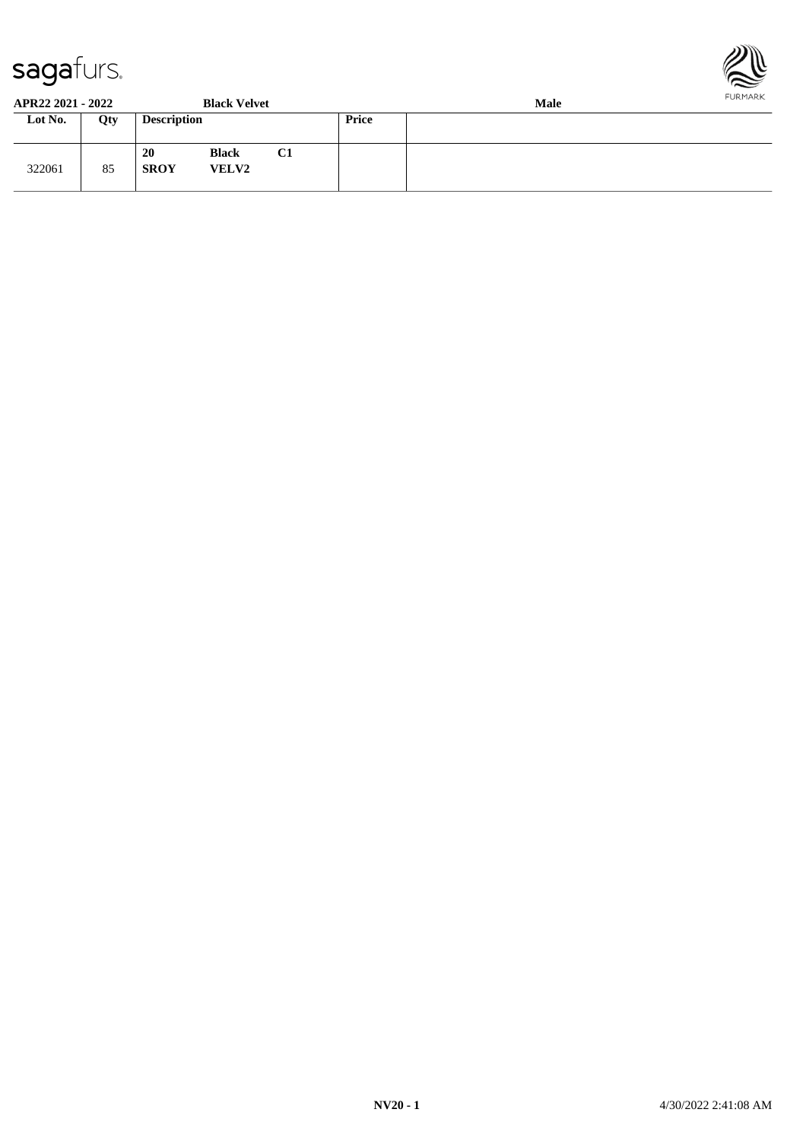



| APR22 2021 - 2022 |     |                    | <b>Black Velvet</b>          |    |       | Male |  |  |
|-------------------|-----|--------------------|------------------------------|----|-------|------|--|--|
| Lot No.           | Qty | <b>Description</b> |                              |    | Price |      |  |  |
| 322061            | 85  | 20<br><b>SROY</b>  | <b>Black</b><br><b>VELV2</b> | C1 |       |      |  |  |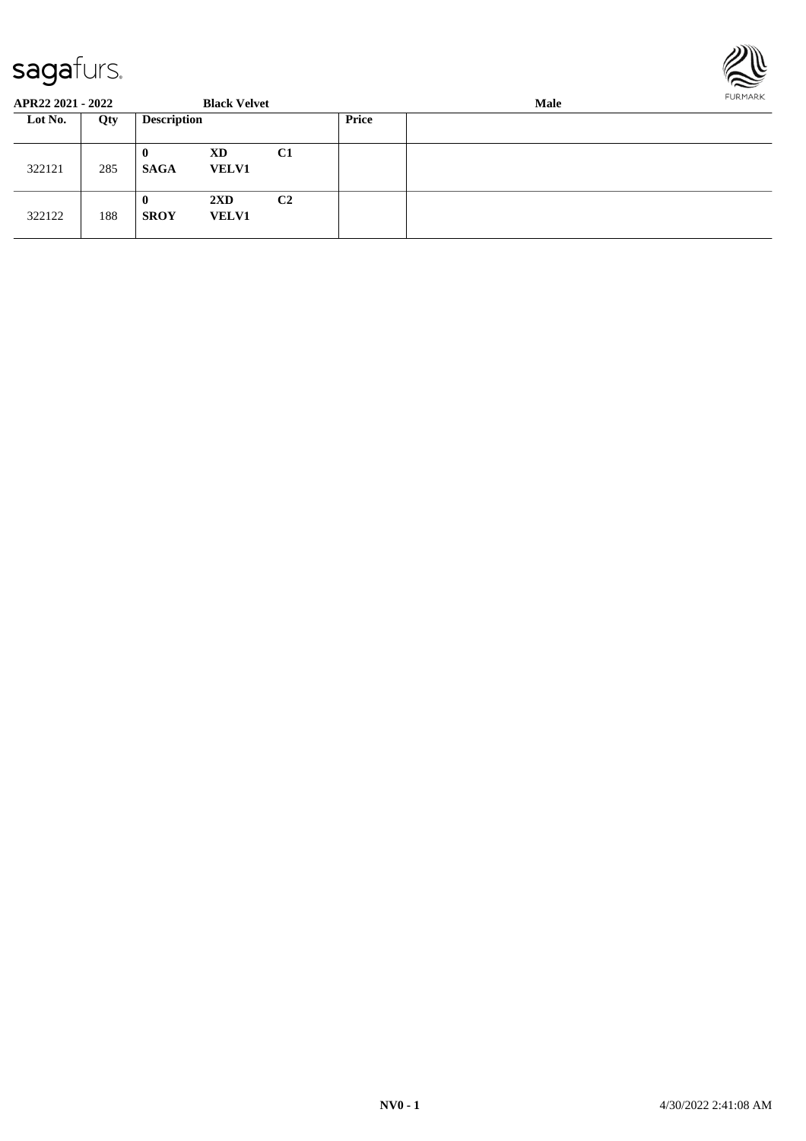

| APR22 2021 - 2022 |     |                         | <b>Black Velvet</b>                     |                |       | FURMARK |  |
|-------------------|-----|-------------------------|-----------------------------------------|----------------|-------|---------|--|
| Lot No.           | Qty | <b>Description</b>      |                                         |                | Price |         |  |
| 322121            | 285 | $\bf{0}$<br><b>SAGA</b> | XD<br><b>VELV1</b>                      | C1             |       |         |  |
| 322122            | 188 | $\bf{0}$<br><b>SROY</b> | $2\mathbf{X}\mathbf{D}$<br><b>VELV1</b> | C <sub>2</sub> |       |         |  |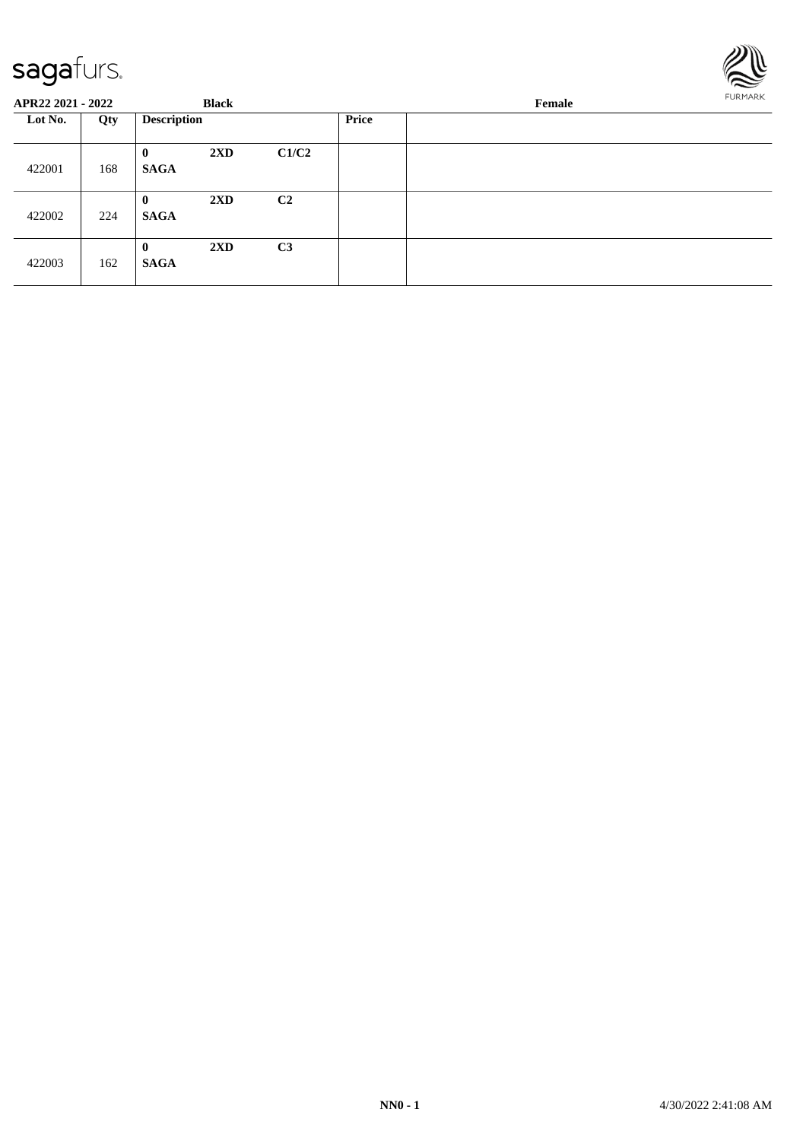

| APR22 2021 - 2022 |     | <b>Black</b>            |                         |                |  | <b>FURMARK</b> |  |
|-------------------|-----|-------------------------|-------------------------|----------------|--|----------------|--|
| Lot No.           | Qty | <b>Description</b>      |                         | <b>Price</b>   |  |                |  |
| 422001            | 168 | $\bf{0}$<br><b>SAGA</b> | $2\mathbf{X}\mathbf{D}$ | C1/C2          |  |                |  |
| 422002            | 224 | $\bf{0}$<br><b>SAGA</b> | $2\mathbf{X}\mathbf{D}$ | C <sub>2</sub> |  |                |  |
| 422003            | 162 | $\bf{0}$<br><b>SAGA</b> | $2\mathbf{X}\mathbf{D}$ | C <sub>3</sub> |  |                |  |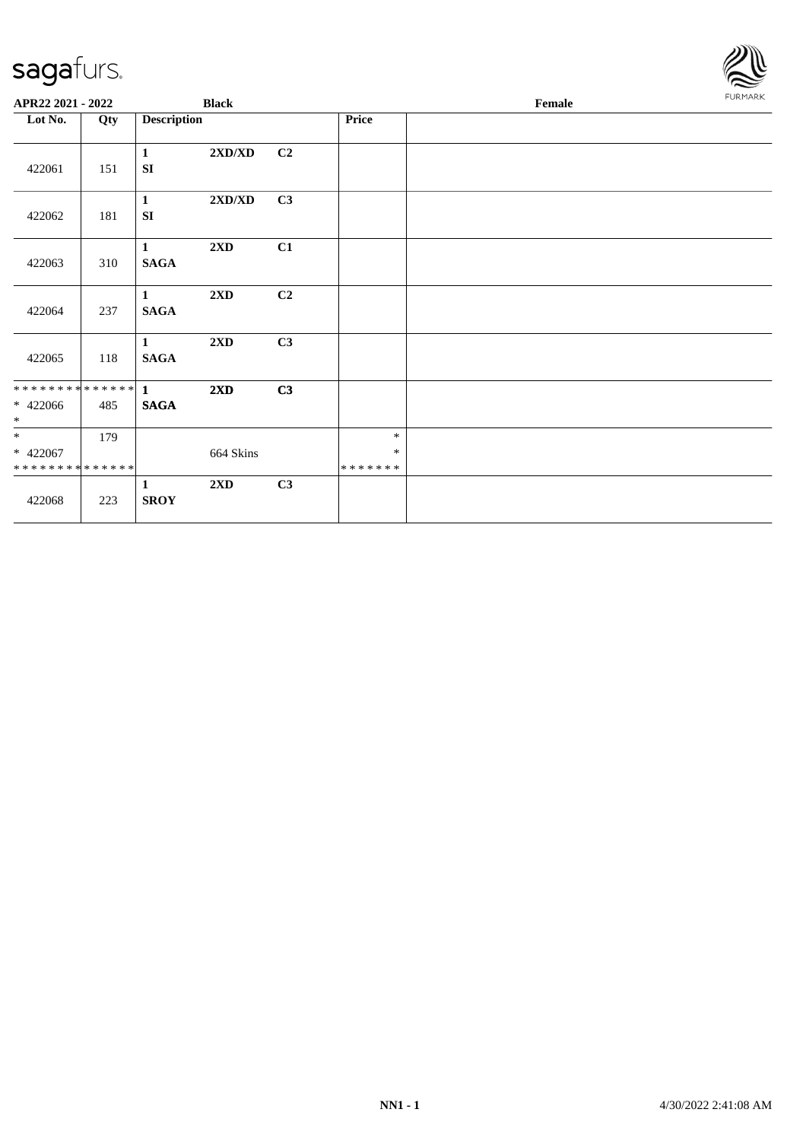

| APR22 2021 - 2022                                |     |                             | <b>Black</b>            |                |                             | <b>FURMARK</b> |  |
|--------------------------------------------------|-----|-----------------------------|-------------------------|----------------|-----------------------------|----------------|--|
| Lot No.                                          | Qty | <b>Description</b>          |                         |                | Price                       |                |  |
| 422061                                           | 151 | $\mathbf{1}$<br><b>SI</b>   | 2XD/XD                  | C <sub>2</sub> |                             |                |  |
| 422062                                           | 181 | $\mathbf{1}$<br>SI          | 2XD/XD                  | C3             |                             |                |  |
| 422063                                           | 310 | $\mathbf{1}$<br><b>SAGA</b> | $2\mathbf{X}\mathbf{D}$ | C1             |                             |                |  |
| 422064                                           | 237 | $\mathbf{1}$<br><b>SAGA</b> | 2XD                     | C <sub>2</sub> |                             |                |  |
| 422065                                           | 118 | $\mathbf{1}$<br><b>SAGA</b> | $2{\bf X}{\bf D}$       | C3             |                             |                |  |
| $* 422066$<br>$*$                                | 485 | <b>SAGA</b>                 | 2XD                     | C3             |                             |                |  |
| $*$<br>$* 422067$<br>* * * * * * * * * * * * * * | 179 |                             | 664 Skins               |                | $\ast$<br>$\ast$<br>******* |                |  |
| 422068                                           | 223 | $\mathbf{1}$<br><b>SROY</b> | $2\mathbf{X}\mathbf{D}$ | C3             |                             |                |  |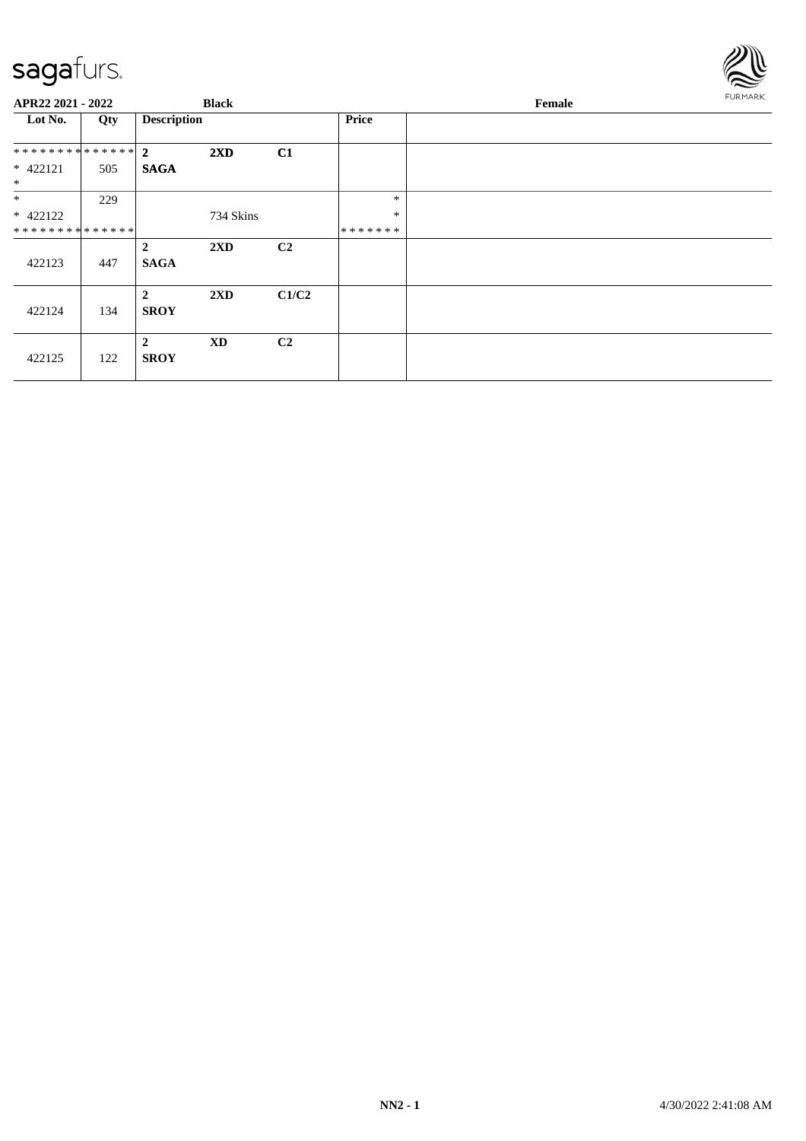

| APR22 2021 - 2022    |     |                               | <b>Black</b>            |                |              | Female | FURMARK |
|----------------------|-----|-------------------------------|-------------------------|----------------|--------------|--------|---------|
| Lot No.              | Qty | <b>Description</b>            |                         |                | <b>Price</b> |        |         |
| ************** 2     |     |                               | $2\mathbf{X}\mathbf{D}$ | C1             |              |        |         |
| $* 422121$<br>$\ast$ | 505 | <b>SAGA</b>                   |                         |                |              |        |         |
| $*$                  | 229 |                               |                         |                | $\ast$       |        |         |
| $* 422122$           |     |                               | 734 Skins               |                | $\ast$       |        |         |
| **************       |     |                               |                         |                | *******      |        |         |
| 422123               | 447 | $\overline{2}$<br><b>SAGA</b> | 2XD                     | C <sub>2</sub> |              |        |         |
| 422124               | 134 | $\overline{2}$<br><b>SROY</b> | 2XD                     | C1/C2          |              |        |         |
| 422125               | 122 | $\overline{2}$<br><b>SROY</b> | <b>XD</b>               | C <sub>2</sub> |              |        |         |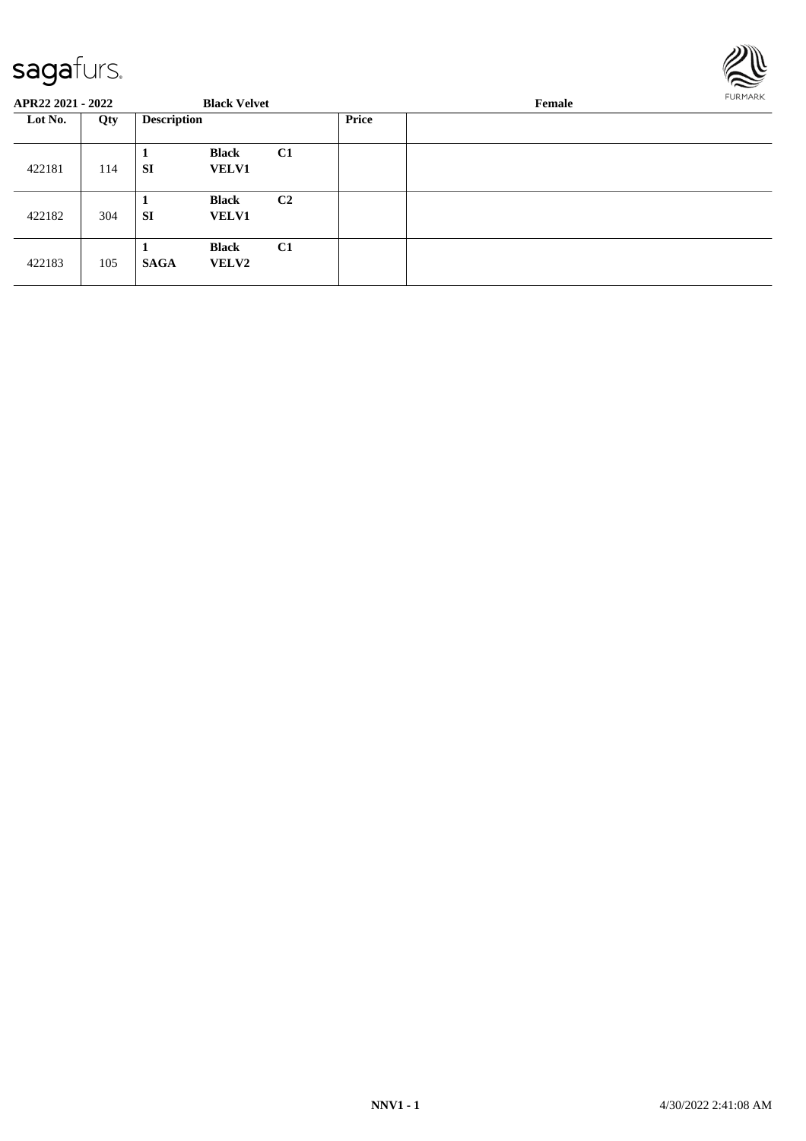

| APR22 2021 - 2022 |     |                    | <b>Black Velvet</b>          |                |              | Female |  |  |  |
|-------------------|-----|--------------------|------------------------------|----------------|--------------|--------|--|--|--|
| Lot No.<br>422181 | Qty | <b>Description</b> |                              |                | <b>Price</b> |        |  |  |  |
|                   | 114 | SI                 | <b>Black</b><br><b>VELV1</b> | C1             |              |        |  |  |  |
| 422182            | 304 | л<br><b>SI</b>     | <b>Black</b><br><b>VELV1</b> | C <sub>2</sub> |              |        |  |  |  |
| 422183            | 105 | <b>SAGA</b>        | <b>Black</b><br><b>VELV2</b> | C1             |              |        |  |  |  |